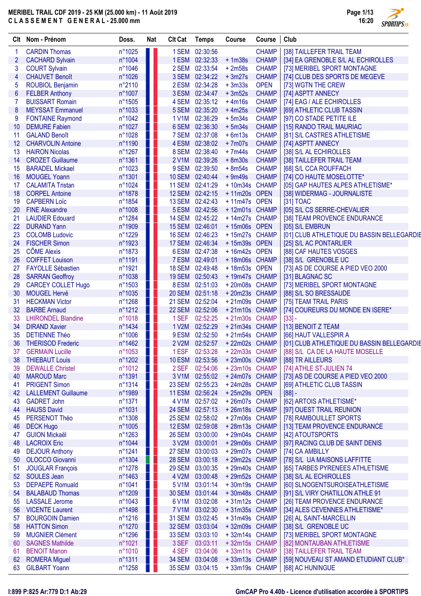|    | Clt Nom - Prénom           | Doss.            | <b>Nat</b>        | <b>Clt Cat</b> | <b>Temps</b>    | Course        | Course       | Club                                       |
|----|----------------------------|------------------|-------------------|----------------|-----------------|---------------|--------------|--------------------------------------------|
|    | <b>CARDIN Thomas</b>       | n°1025           |                   |                | 1 SEM 02:30:56  |               | <b>CHAMP</b> | [38] TAILLEFER TRAIL TEAM                  |
| 2  | <b>CACHARD Sylvain</b>     | n°1004           |                   |                | 1 ESM 02:32:33  | $+1m38s$      | <b>CHAMP</b> | [34] EA GRENOBLE S/L AL ECHIROLLES         |
| 3  | <b>COURT Sylvain</b>       | n°1046           | ш                 |                | 2 SEM 02:33:54  | $+2m58s$      | <b>CHAMP</b> | [73] MERIBEL SPORT MONTAGNE                |
| 4  | <b>CHAUVET Benoît</b>      | n°1026           |                   |                | 3 SEM 02:34:22  | $+3m27s$      | <b>CHAMP</b> | [74] CLUB DES SPORTS DE MEGEVE             |
| 5  | <b>ROUBIOL Benjamin</b>    | n°2110           | ш                 |                | 2 ESM 02:34:28  | $+3m33s$      | <b>OPEN</b>  | [73] WGTN THE CREW                         |
| 6  | <b>FELBER Anthony</b>      | n°1007           | U                 |                | 3 ESM 02:34:47  | $+3m52s$      | <b>CHAMP</b> | [74] ASPTT ANNECY                          |
| 7  | <b>BUISSART Romain</b>     | n°1505           |                   |                | 4 SEM 02:35:12  | $+4m16s$      | <b>CHAMP</b> | [74] EAG / ALE ECHIROLLES                  |
| 8  | <b>MEYSSAT Emmanuel</b>    | n°1033           | w                 |                | 5 SEM 02:35:20  | $+4m25s$      | <b>CHAMP</b> | [69] ATHLETIC CLUB TASSIN                  |
| 9  | <b>FONTAINE Raymond</b>    | $n^{\circ}1042$  | Ш                 |                | 1 V1M 02:36:29  | $+5m34s$      | <b>CHAMP</b> | [97] CO STADE PETITE ILE                   |
| 10 | <b>DEMURE Fabien</b>       | n°1027           | n l               |                | 6 SEM 02:36:30  | $+5m34s$      | <b>CHAMP</b> | [15] RANDO TRAIL MAURIAC                   |
| 11 | <b>GALAND Benoît</b>       | n°1028           | H.                |                | 7 SEM 02:37:08  | $+6m13s$      | <b>CHAMP</b> | [81] S/L CASTRES ATHLETISME                |
| 12 | <b>CHARVOLIN Antoine</b>   | n°1190           | $\blacksquare$    |                | 4 ESM 02:38:02  | $+7m07s$      | <b>CHAMP</b> | [74] ASPTT ANNECY                          |
| 13 | <b>HAIRON Nicolas</b>      | n°1267           | Ш                 |                | 8 SEM 02:38:40  | $+7m44s$      | <b>CHAMP</b> | [38] S/L AL ECHIROLLES                     |
| 14 | <b>CROZET Guillaume</b>    | n°1361           | Ш                 |                | 2 V1M 02:39:26  | $+8m30s$      | <b>CHAMP</b> | [38] TAILLEFER TRAIL TEAM                  |
| 15 | <b>BARADEL Mickael</b>     | n°1023           | Ш                 |                | 9 SEM 02:39:50  | $+8m54s$      | <b>CHAMP</b> | [68] S/L CCA ROUFFACH                      |
| 16 | <b>MOUGEL Yoann</b>        | n°1301           | U I               |                | 10 SEM 02:40:44 | $+9m49s$      | <b>CHAMP</b> | [74] CO HAUTE MOSELOTTE*                   |
| 17 | <b>CALAMITA Tristan</b>    | $n^{\circ}1024$  | w                 |                | 11 SEM 02:41:29 | +10m34s CHAMP |              | [05] GAP HAUTES ALPES ATHLETISME*          |
| 18 | <b>CORPEL Antoine</b>      | n°1878           | Ш                 |                | 12 SEM 02:42:15 | +11m20s OPEN  |              | [38] WIDERMAG - JOURNALISTE                |
| 19 | <b>CAPBERN Loïc</b>        | n°1854           | Ш                 |                | 13 SEM 02:42:43 | +11m47s OPEN  |              | [31] TOAC                                  |
| 20 | <b>FINE Alexandre</b>      | n°1008           | W                 |                | 5 ESM 02:42:56  | +12m01s CHAMP |              | [05] S/L CS SERRE-CHEVALIER                |
| 21 | <b>LAUDIER Edouard</b>     | n°1284           | H.                |                | 14 SEM 02:45:22 | +14m27s CHAMP |              | [38] TEAM PROVENCE ENDURANCE               |
| 22 | <b>DURAND Yann</b>         | n°1909           | H                 |                | 15 SEM 02:46:01 | +15m06s OPEN  |              | [05] S/L EMBRUN                            |
|    | <b>COLOMB Ludovic</b>      |                  |                   |                | 16 SEM 02:46:23 | +15m27s CHAMP |              |                                            |
| 23 |                            | n°1229           |                   |                |                 |               |              | [01] CLUB ATHLETIQUE DU BASSIN BELLEGARDIE |
| 24 | <b>FISCHER Simon</b>       | n°1923           | ш                 |                | 17 SEM 02:46:34 | +15m39s OPEN  |              | [25] S/L AC PONTARLIER                     |
| 25 | <b>CÔME Alexis</b>         | n°1873           | M.                |                | 6 ESM 02:47:38  | +16m42s OPEN  |              | [88] CAF HAUTES VOSGES                     |
| 26 | <b>COIFFET Louison</b>     | n°1191           |                   |                | 7 ESM 02:49:01  | +18m06s CHAMP |              | [38] S/L GRENOBLE UC                       |
| 27 | <b>FAYOLLE Sébastien</b>   | n°1921           | W                 |                | 18 SEM 02:49:48 | +18m53s OPEN  |              | [73] AS DE COURSE A PIED VEO 2000          |
| 28 | <b>SARRAN Geoffroy</b>     | n°1038           |                   |                | 19 SEM 02:50:43 | +19m47s CHAMP |              | [31] BLAGNAC SC                            |
| 29 | <b>CARCEY COLLET Hugo</b>  | n°1503           |                   |                | 8 ESM 02:51:03  | +20m08s CHAMP |              | [73] MERIBEL SPORT MONTAGNE                |
| 30 | <b>MOUGEL Hervé</b>        | n°1035           | 4 y               |                | 20 SEM 02:51:18 | +20m23s CHAMP |              | [88] S/L SO BRESSAUDE                      |
| 31 | <b>HECKMAN Victor</b>      | $n^{\circ}1268$  |                   |                | 21 SEM 02:52:04 | +21m09s CHAMP |              | [75] TEAM TRAIL PARIS                      |
| 32 | <b>BARBE Arnaud</b>        | n°1212           | U I               |                | 22 SEM 02:52:06 | +21m10s CHAMP |              | [74] COUREURS DU MONDE EN ISERE*           |
| 33 | <b>LHIRONDEL Blandine</b>  | n°1018           | Ш                 |                | 1 SEF 02:52:25  | +21m30s CHAMP |              | $[33] -$                                   |
| 34 | <b>DIRAND Xavier</b>       | $n^{\circ}$ 1434 | ПI                |                | 1 V2M 02:52:29  | +21m34s CHAMP |              | [13] BENOIT Z TEAM                         |
| 35 | <b>DETIENNE Théo</b>       | $n^{\circ}1006$  | H.                |                | 9 ESM 02:52:50  | +21m54s CHAMP |              | [66] HAUT VALLESPIR A                      |
| 36 | <b>THERISOD Frederic</b>   | $n^{\circ}$ 1462 |                   |                | 2 V2M 02:52:57  | +22m02s CHAMP |              | [01] CLUB ATHLETIQUE DU BASSIN BELLEGARDIE |
| 37 | <b>GERMAIN Lucille</b>     | n°1053           |                   |                | 1 ESF 02:53:28  | +22m33s CHAMP |              | [88] S/L CA DE LA HAUTE MOSELLE            |
| 38 | <b>THIEBAUT Louis</b>      | n°1202           |                   |                | 10 ESM 02:53:56 | +23m00s CHAMP |              | [88] TR AILLEURS                           |
| 39 | <b>DEWALLE Christel</b>    | n°1012           |                   |                | 2 SEF 02:54:06  | +23m10s CHAMP |              | [74] ATHLE ST-JULIEN 74                    |
| 40 | <b>MAROUD Marc</b>         | n°1391           | ш                 |                | 3 V1M 02:55:02  | +24m07s CHAMP |              | [73] AS DE COURSE A PIED VEO 2000          |
| 41 | <b>PRIGENT Simon</b>       | n°1314           | <b>TELEVISION</b> |                | 23 SEM 02:55:23 | +24m28s CHAMP |              | [69] ATHLETIC CLUB TASSIN                  |
| 42 | <b>LALLEMENT Guillaume</b> | n°1989           |                   |                | 11 ESM 02:56:24 | +25m29s OPEN  |              | $[88] -$                                   |
| 43 | <b>GADRET John</b>         | n°1371           |                   |                | 4 V1M 02:57:02  | +26m07s CHAMP |              | [62] ARTOIS ATHLETISME*                    |
| 44 | <b>HAUSS David</b>         | n°1031           |                   |                | 24 SEM 02:57:13 | +26m18s CHAMP |              | [97] OUEST TRAIL REUNION                   |
| 45 | PERSENOT Théo              | n°1308           |                   |                | 25 SEM 02:58:02 | +27m06s CHAMP |              | [78] RAMBOUILLET SPORTS                    |
| 46 | <b>DECK Hugo</b>           | n°1005           |                   |                | 12 ESM 02:59:08 | +28m13s CHAMP |              | [13] TEAM PROVENCE ENDURANCE               |
| 47 | <b>GUION Mickaël</b>       | $n^{\circ}1263$  |                   |                | 26 SEM 03:00:00 | +29m04s CHAMP |              | [42] ATOUTSPORTS                           |
| 48 | <b>LACROIX Eric</b>        | n°1044           | ш                 |                | 3 V2M 03:00:01  | +29m06s CHAMP |              | [97] RACING CLUB DE SAINT DENIS            |
| 49 | <b>DEJOUR Anthony</b>      | n°1241           |                   |                | 27 SEM 03:00:03 | +29m07s CHAMP |              | [74] CA AMBILLY                            |
| 50 | OLOCCO Giovanni            | n°1304           |                   |                | 28 SEM 03:00:18 | +29m22s CHAMP |              | [78] S/L UA MAISONS LAFFITTE               |
| 51 | <b>JOUGLAR François</b>    | n°1278           |                   |                | 29 SEM 03:00:35 | +29m40s CHAMP |              | [65] TARBES PYRENEES ATHLETISME            |
| 52 | <b>SOULES Jean</b>         | n°1463           |                   | 4 V2M          | 03:00:48        | +29m52s CHAMP |              | [38] S/L AL ECHIROLLES                     |
| 53 | <b>DEPAEPE Romuald</b>     | n°1041           |                   |                | 5 V1M 03:01:14  | +30m19s CHAMP |              | [60] SLNOGENTSUROISEATHLETISME             |
| 54 | <b>BALABAUD Thomas</b>     | n°1209           |                   |                | 30 SEM 03:01:44 | +30m48s CHAMP |              | [91] S/L VIRY CHATILLON ATHLE 91           |
| 55 | <b>LASSALE</b> Jerome      | n°1043           |                   |                | 6 V1M 03:02:08  | +31m12s CHAMP |              | [26] TEAM PROVENCE ENDURANCE               |
| 56 | <b>VICENTE Laurent</b>     | n°1498           | w                 |                | 7 V1M 03:02:30  | +31m35s CHAMP |              | [34] ALES CEVENNES ATHLETISME*             |
| 57 | <b>BOURGOIN Damien</b>     | $n^{\circ}1216$  | w                 |                | 31 SEM 03:02:45 | +31m49s CHAMP |              | [26] AL SAINT-MARCELLIN                    |
| 58 | <b>HATTON Simon</b>        | n°1270           |                   |                | 32 SEM 03:03:04 | +32m09s CHAMP |              | [38] S/L GRENOBLE UC                       |
| 59 | <b>MUGNIER Clément</b>     | n°1296           | W                 |                | 33 SEM 03:03:10 | +32m14s CHAMP |              | [73] MERIBEL SPORT MONTAGNE                |
| 60 | <b>SAGNES Mathilde</b>     | n°1021           | n an              |                | 3 SEF 03:03:11  | +32m15s CHAMP |              | [82] MONTAUBAN ATHLETISME                  |
| 61 | <b>BENOIT Manon</b>        | n°1010           | H.                |                | 4 SEF 03:04:06  | +33m11s CHAMP |              | [38] TAILLEFER TRAIL TEAM                  |
| 62 | <b>ROMERA Miguel</b>       | n°1311           |                   |                | 34 SEM 03:04:08 | +33m13s CHAMP |              | [59] NOUVEAU ST AMAND ETUDIANT CLUB*       |
| 63 | <b>GILBART Yoann</b>       | $n^{\circ}1258$  | H.                |                | 35 SEM 03:04:15 | +33m19s CHAMP |              | [68] AC HUNINGUE                           |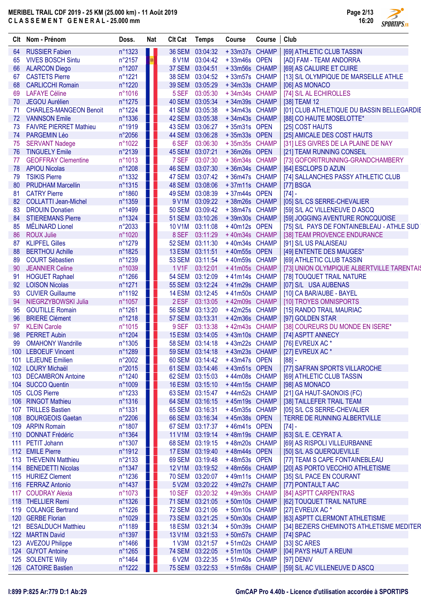|    | Clt Nom - Prénom              | Doss.            | <b>Nat</b>         | <b>Clt Cat</b> | <b>Temps</b>    | Course                             | Course | Club                                       |
|----|-------------------------------|------------------|--------------------|----------------|-----------------|------------------------------------|--------|--------------------------------------------|
| 64 | <b>RUSSIER Fabien</b>         | n°1323           | Ш                  |                | 36 SEM 03:04:32 | +33m37s CHAMP                      |        | [69] ATHLETIC CLUB TASSIN                  |
| 65 | <b>VIVES BOSCH Sintu</b>      | $n^{\circ}2157$  | <b>Participate</b> |                | 8 V1M 03:04:42  | +33m46s OPEN                       |        | [AD] FAM - TEAM ANDORRA                    |
| 66 | <b>ALARCON Diego</b>          | $n^{\circ}1207$  | 8 D                |                | 37 SEM 03:04:51 | +33m56s CHAMP                      |        | [69] AS CALUIRE ET CUIRE                   |
| 67 | <b>CASTETS Pierre</b>         | n°1221           | H.                 |                | 38 SEM 03:04:52 | +33m57s CHAMP                      |        | [13] S/L OLYMPIQUE DE MARSEILLE ATHLE      |
| 68 | <b>CARLICCHI Romain</b>       | n°1220           |                    |                | 39 SEM 03:05:29 | +34m33s CHAMP                      |        | [06] AS MONACO                             |
| 69 | <b>LAFAYE Céline</b>          | $n^{\circ}1016$  | H I                | 5 SEF          | 03:05:30        | +34m34s CHAMP                      |        | [74] S/L AL ECHIROLLES                     |
| 70 | <b>JEGOU Aurélien</b>         | $n^{\circ}1275$  | Ш                  |                | 40 SEM 03:05:34 | +34m39s CHAMP                      |        | [38] TEAM 12                               |
| 71 | <b>CHARLES-MANGEON Benoit</b> | n°1224           | H I                |                | 41 SEM 03:05:38 | +34m43s CHAMP                      |        | [01] CLUB ATHLETIQUE DU BASSIN BELLEGARDIE |
| 72 | <b>VANNSON Emile</b>          | $n^{\circ}$ 1336 | Ш                  |                | 42 SEM 03:05:38 | +34m43s CHAMP                      |        | [88] CO HAUTE MOSELOTTE*                   |
| 73 | <b>FAIVRE PIERRET Mathieu</b> | n°1919           | ш                  |                | 43 SEM 03:06:27 | +35m31s OPEN                       |        | [25] COST HAUTS                            |
| 74 | PARGEMIN Léo                  | $n^{\circ}2056$  | Ш                  |                | 44 SEM 03:06:28 | +35m33s OPEN                       |        | [25] AMICALE DES COST HAUTS                |
| 75 | <b>SERVANT Nadege</b>         | $n^{\circ}1022$  | Ш                  | 6 SEF          | 03:06:30        | +35m35s CHAMP                      |        | [31] LES GIVRES DE LA PLAINE DE NAY        |
| 76 | <b>TINGUELY Emile</b>         | $n^{\circ}2139$  | Ш                  |                | 45 SEM 03:07:21 | +36m26s OPEN                       |        | [21] TEAM RUNNING CONSEIL                  |
| 77 | <b>GEOFFRAY Clementine</b>    | $n^{\circ}1013$  | ш                  | 7 SEF          | 03:07:30        | +36m34s CHAMP                      |        | [73] GOFORITRUNNING-GRANDCHAMBERY          |
| 78 | <b>APIOU Nicolas</b>          | $n^{\circ}1208$  | Ш                  |                | 46 SEM 03:07:30 | +36m34s CHAMP                      |        | [64] ESCLOPS D AZUN                        |
| 79 | <b>TSIKIS Pierre</b>          | $n^{\circ}$ 1332 | H.                 |                | 47 SEM 03:07:42 | +36m47s CHAMP                      |        | [74] SALLANCHES PASSY ATHLETIC CLUB        |
| 80 | <b>PRUDHAM Marcellin</b>      | $n^{\circ}1315$  | ш                  |                | 48 SEM 03:08:06 | +37m11s CHAMP                      |        | [77] BSGA                                  |
| 81 | <b>CATRY Pierre</b>           | $n^{\circ}1860$  | H                  |                | 49 SEM 03:08:39 | +37m44s OPEN                       |        | $[74] -$                                   |
| 82 | <b>COLLATTI Jean-Michel</b>   | $n^{\circ}$ 1359 | H I                | 9 V1M          | 03:09:22        | +38m26s CHAMP                      |        | [05] S/L CS SERRE-CHEVALIER                |
| 83 | <b>DROUIN Donatien</b>        | n°1499           | Ш                  |                | 50 SEM 03:09:42 | +38m47s CHAMP                      |        | [59] S/L AC VILLENEUVE D ASCQ              |
| 84 | <b>STIEREMANS Pierre</b>      | n°1324           | H I                |                | 51 SEM 03:10:26 | +39m30s CHAMP                      |        | [59] JOGGING AVENTURE RONCQUOISE           |
| 85 | <b>MÉLINARD Lionel</b>        | $n^{\circ}2033$  | Ш                  |                | 10 V1M 03:11:08 | +40m12s OPEN                       |        | [75] S/L PAYS DE FONTAINEBLEAU - ATHLE SUD |
| 86 | <b>ROUX Julie</b>             | n°1020           |                    | 8 SEF          | 03:11:29        | +40m34s CHAMP                      |        | [38] TEAM PROVENCE ENDURANCE               |
| 87 | <b>KLIPFEL Gilles</b>         | n°1279           | Ш                  |                | 52 SEM 03:11:30 | +40m34s CHAMP                      |        | [91] S/L US PALAISEAU                      |
| 88 | <b>BERTHOU Achille</b>        | n°1825           | H I                |                | 13 ESM 03:11:51 | +40m55s OPEN                       |        | [49] ENTENTE DES MAUGES*                   |
| 89 | <b>COURT Sébastien</b>        | n°1239           | Ш                  |                | 53 SEM 03:11:54 | +40m59s CHAMP                      |        | [69] ATHLETIC CLUB TASSIN                  |
| 90 | <b>JEANNIER Celine</b>        | n°1039           | H I                | 1 V1F          | 03:12:01        | +41m05s CHAMP                      |        | [73] UNION OLYMPIQUE ALBERTVILLE TARENTAIS |
| 91 | <b>HOGUET Raphael</b>         | $n^{\circ}1266$  | H                  |                | 54 SEM 03:12:09 | +41m14s CHAMP                      |        | [78] TOUQUET TRAIL NATURE                  |
| 92 | <b>LOISON Nicolas</b>         | n°1271           |                    |                | 55 SEM 03:12:24 | +41m29s CHAMP                      |        | [07] S/L USA AUBENAS                       |
| 93 | <b>CUVIER Guillaume</b>       | n°1192           | Ш                  |                | 14 ESM 03:12:45 | +41m50s CHAMP                      |        | [10] CA BAR/AUBE - BAYEL                   |
| 94 | NIEGRZYBOWSKI Julia           | $n^{\circ}1057$  | Пľ                 |                | 2 ESF 03:13:05  | +42m09s CHAMP                      |        | [10] TROYES OMNISPORTS                     |
| 95 | <b>GOUTILLE Romain</b>        | n°1261           | n L                |                | 56 SEM 03:13:20 | +42m25s CHAMP                      |        | [15] RANDO TRAIL MAURIAC                   |
| 96 | <b>BRIERE Clément</b>         | $n^{\circ}1218$  | Ш                  |                | 57 SEM 03:13:31 | +42m36s CHAMP                      |        | [97] GOLDEN STAR                           |
| 97 | <b>KLEIN Carole</b>           | $n^{\circ}1015$  | H I                |                | 9 SEF 03:13:38  | +42m43s CHAMP                      |        | [38] COUREURS DU MONDE EN ISERE*           |
| 98 | <b>PERRET Aubin</b>           | n°1204           | H                  |                | 15 ESM 03:14:05 | +43m10s CHAMP                      |        | [74] ASPTT ANNECY                          |
| 99 | <b>OMAHONY Wandrille</b>      | $n^{\circ}1305$  |                    |                | 58 SEM 03:14:18 | +43m22s CHAMP                      |        | [76] EVREUX AC *                           |
|    | 100 LEBOEUF Vincent           | n°1289           |                    |                |                 | 59 SEM  03:14:18   + 43m23s  CHAMP |        | [27] EVREUX AC *                           |
|    | 101 LEJEUNE Emilien           | n°2002           |                    |                | 60 SEM 03:14:42 | +43m47s OPEN                       |        | $[88] -$                                   |
|    | 102 LOURY Michaël             | $n^{\circ}2015$  |                    |                | 61 SEM 03:14:46 | +43m51s OPEN                       |        | [77] SAFRAN SPORTS VILLAROCHE              |
|    | 103 DECAMBRON Antoine         | $n^{\circ}1240$  | H                  |                | 62 SEM 03:15:03 | +44m08s CHAMP                      |        | [69] ATHLETIC CLUB TASSIN                  |
|    | 104 SUCCO Quentin             | $n^{\circ}1009$  | Ш                  |                | 16 ESM 03:15:10 | +44m15s CHAMP                      |        | [98] AS MONACO                             |
|    | 105 CLOS Pierre               | $n^{\circ}1233$  |                    |                | 63 SEM 03:15:47 | +44m52s CHAMP                      |        | [21] GA HAUT-SAONOIS (FC)                  |
|    | 106 RINGOT Mathieu            | n°1316           | ПĽ                 |                | 64 SEM 03:16:15 | +45m19s CHAMP                      |        | [38] TAILLEFER TRAIL TEAM                  |
|    | 107 TRILLES Bastien           | n°1331           |                    |                | 65 SEM 03:16:31 | +45m35s CHAMP                      |        | [05] S/L CS SERRE-CHEVALIER                |
|    | 108 BOURGEOIS Gaetan          | n°2206           |                    |                | 66 SEM 03:16:34 | +45m38s OPEN                       |        | TERRE DE RUNNING ALBERTVILLE               |
|    | 109 ARPIN Romain              | n°1807           |                    |                | 67 SEM 03:17:37 | +46m41s OPEN                       |        | $[74] -$                                   |
|    | 110 DONNAT Frédéric           | n°1364           |                    | <b>11 V1M</b>  | 03:19:14        | +48m19s CHAMP                      |        | [63] S/L E. CEYRAT A.                      |
|    | 111 PETIT Johann              | n°1307           |                    |                | 68 SEM 03:19:15 | +48m20s CHAMP                      |        | [69] AS RISPOLI VILLEURBANNE               |
|    | 112 EMILE Pierre              | $n^{\circ}1912$  |                    |                | 17 ESM 03:19:40 | +48m44s OPEN                       |        | [50] S/L AS QUERQUEVILLE                   |
|    | 113 THEVENIN Matthieu         | n°2133           |                    |                | 69 SEM 03:19:48 | +48m53s OPEN                       |        | [77] TEAM S CAPE FONTAINEBLEAU             |
|    | 114 BENEDETTI Nicolas         | n°1347           |                    | <b>12 V1M</b>  | 03:19:52        | +48m56s CHAMP                      |        | [20] AS PORTO VECCHIO ATHLETISME           |
|    | 115 HURIEZ Clement            | n°1236           | Ш                  |                | 70 SEM 03:20:07 | +49m11s CHAMP                      |        | [35] S/L PACE EN COURANT                   |
|    | 116 FERRAZ Antonio            | n°1437           | ш                  |                | 5 V2M 03:20:22  | +49m27s CHAMP                      |        | [77] PONTAULT AAC                          |
|    | 117 COUDRAY Alexia            | n°1073           | H.                 |                | 10 SEF 03:20:32 | +49m36s CHAMP                      |        | [84] ASPTT CARPENTRAS                      |
|    | 118 THELLIER Remi             | n°1326           |                    |                | 71 SEM 03:21:05 | +50m10s CHAMP                      |        | [62] TOUQUET TRAIL NATURE                  |
|    | 119 COLANGE Bertrand          | $n^{\circ}1226$  | n D                |                | 72 SEM 03:21:06 | +50m10s CHAMP                      |        | [27] EVREUX AC*                            |
|    | 120 GERBE Florian             | n°1029           |                    |                | 73 SEM 03:21:25 | +50m30s CHAMP                      |        | [63] ASPTT CLERMONT ATHLETISME             |
|    | 121 BESALDUCH Matthieu        | n°1189           | n D                |                | 18 ESM 03:21:34 | +50m39s CHAMP                      |        | [34] BEZIERS CHEMINOTS ATHLETISME MEDITER  |
|    | 122 MARTIN David              | n°1397           |                    | <b>13 V1M</b>  | 03:21:53        | +50m57s CHAMP                      |        | $[74]$ SPAC                                |
|    | 123 AVEZOU Philippe           | $n^{\circ}$ 1466 | . .                |                | 1 V3M 03:21:57  | +51m02s CHAMP                      |        | [33] SC ARES                               |
|    | 124 GUYOT Antoine             | n°1265           |                    |                | 74 SEM 03:22:05 | +51m10s CHAMP                      |        | [04] PAYS HAUT A REUNI                     |
|    | 125 SOLENTE Willy             | n°1464           |                    |                | 6 V2M 03:22:35  | +51m40s CHAMP                      |        | [97] DENIV                                 |
|    | 126 CATOIRE Bastien           | $n^{\circ}1222$  |                    |                | 75 SEM 03:22:53 | +51m58s CHAMP                      |        | [59] S/L AC VILLENEUVE D ASCQ              |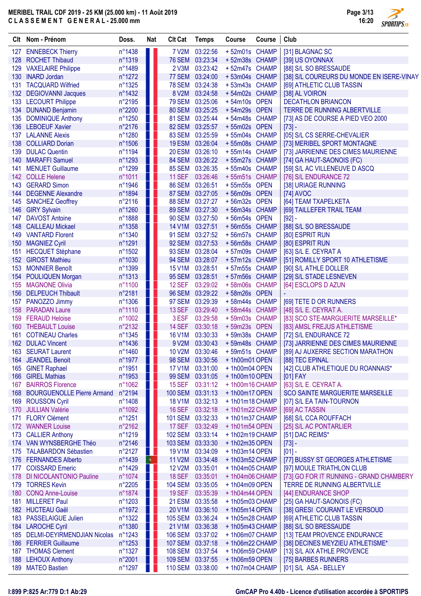$\overline{\phantom{a}}$ 

|                  | Clt Nom - Prénom                              | Doss.            | <b>Nat</b> | <b>Clt Cat</b>                   | <b>Temps</b>                | Course                          | Course | Club                                                       |
|------------------|-----------------------------------------------|------------------|------------|----------------------------------|-----------------------------|---------------------------------|--------|------------------------------------------------------------|
|                  | 127 ENNEBECK Thierry                          | n°1438           |            | 7 V2M                            | 03:22:56                    | +52m01s CHAMP                   |        | [31] BLAGNAC SC                                            |
|                  | 128 ROCHET Thibaud                            | n°1319           |            | <b>76 SEM</b>                    | 03:23:34                    | +52m38s CHAMP                   |        | [39] US OYONNAX                                            |
|                  | 129 VAXELAIRE Philippe                        | n°1489           |            | 2 V3M                            | 03:23:42                    | +52m47s CHAMP                   |        | [88] S/L SO BRESSAUDE                                      |
|                  | 130 INARD Jordan                              | $n^{\circ}1272$  |            | 77 SEM                           | 03:24:00                    | +53m04s CHAMP                   |        | [38] S/L COUREURS DU MONDE EN ISERE-VINAY                  |
| 131              | <b>TACQUARD Wilfried</b>                      | n°1325           |            | <b>78 SEM</b>                    | 03:24:38                    | +53m43s CHAMP                   |        | [69] ATHLETIC CLUB TASSIN                                  |
|                  | 132 DEGIOVANNI Jacques                        | n°1432           |            | 8 V2M                            | 03:24:58                    | +54m02s CHAMP                   |        | [38] AL VOIRON                                             |
|                  | 133 LECOURT Philippe                          | n°2195           |            | <b>79 SEM</b>                    | 03:25:06                    | +54m10s OPEN                    |        | <b>DECATHLON BRIANCON</b>                                  |
|                  | 134 DUNAND Benjamin                           | n°2200           | ш          | <b>80 SEM</b>                    | 03:25:25                    | +54m29s OPEN                    |        | TERRE DE RUNNING ALBERTVILLE                               |
|                  | 135 DOMINIQUE Anthony                         | n°1250           | n I        | <b>81 SEM</b>                    | 03:25:44                    | +54m48s CHAMP                   |        | [73] AS DE COURSE A PIED VEO 2000                          |
|                  | 136 LEBOEUF Xavier                            | n°2176           |            | <b>82 SEM</b>                    | 03:25:57                    | +55m02s OPEN                    |        | $[73] -$                                                   |
| 137              | <b>LALANNE Alexis</b>                         | n°1280           |            | 83 SEM                           | 03:25:59                    | +55m04s CHAMP                   |        | [05] S/L CS SERRE-CHEVALIER                                |
| 138              | <b>COLLIARD Dorian</b>                        | $n^{\circ}1506$  |            | <b>19 ESM</b>                    | 03:26:04                    | +55m08s CHAMP                   |        | [73] MERIBEL SPORT MONTAGNE                                |
| 139<br>140       | <b>DULAC Quentin</b><br><b>MARAFFI Samuel</b> | n°1194           |            | <b>20 ESM</b><br><b>84 SEM</b>   | 03:26:10<br>03:26:22        | +55m14s CHAMP<br>+55m27s CHAMP  |        | [73] JARRIENNE DES CIMES MAURIENNE                         |
| 141              | <b>MENUET Guillaume</b>                       | n°1293<br>n°1299 |            | <b>85 SEM</b>                    | 03:26:35                    | +55m40s CHAMP                   |        | [74] GA HAUT-SAONOIS (FC)<br>[59] S/L AC VILLENEUVE D ASCQ |
|                  | 142 COLLE Helene                              | n°1011           | W          | <b>11 SEF</b>                    | 03:26:46                    | +55m51s CHAMP                   |        | [76] S/L ENDURANCE 72                                      |
| 143              | <b>GERARD Simon</b>                           | n°1946           |            | <b>86 SEM</b>                    | 03:26:51                    | +55m55s OPEN                    |        | [38] URIAGE RUNNING                                        |
|                  | 144 DEGENNE Alexandre                         | n°1894           |            | <b>87 SEM</b>                    | 03:27:05                    | +56m09s OPEN                    |        | [74] AVOC                                                  |
| 145              | <b>SANCHEZ Geoffrey</b>                       | $n^{\circ}2116$  |            | <b>88 SEM</b>                    | 03:27:27                    | +56m32s OPEN                    |        | [64] TEAM TXAPELKETA                                       |
|                  | 146 GIRY Sylvain                              | n°1260           |            | <b>89 SEM</b>                    | 03:27:30                    | +56m34s CHAMP                   |        | [69] TAILLEFER TRAIL TEAM                                  |
| 147              | <b>DAVOST Antoine</b>                         | n°1888           |            | <b>90 SEM</b>                    | 03:27:50                    | +56m54s OPEN                    |        | $[92] -$                                                   |
| 148              | <b>CAILLEAU Mickael</b>                       | n°1358           |            | <b>14 V1M</b>                    | 03:27:51                    | +56m55s CHAMP                   |        | [88] S/L SO BRESSAUDE                                      |
|                  | 149 VANTARD Florent                           | n°1340           |            | <b>91 SEM</b>                    | 03:27:52                    | +56m57s CHAMP                   |        | [80] ESPRIT RUN                                            |
| 150 <sub>2</sub> | <b>MAGNIEZ Cyril</b>                          | n°1291           |            | <b>92 SEM</b>                    | 03:27:53                    | +56m58s CHAMP                   |        | [80] ESPRIT RUN                                            |
| 151              | <b>HECQUET Stéphane</b>                       | n°1502           |            | <b>93 SEM</b>                    | 03:28:04                    | +57m09s CHAMP                   |        | [63] S/L E. CEYRAT A                                       |
|                  | 152 GIROST Mathieu                            | n°1030           |            | <b>94 SEM</b>                    | 03:28:07                    | +57m12s CHAMP                   |        | [51] ROMILLY SPORT 10 ATHLETISME                           |
| 153              | <b>MONNIER Benoît</b>                         | n°1399           |            | <b>15 V1M</b>                    | 03:28:51                    | +57m55s CHAMP                   |        | [90] S/L ATHLE DOLLER                                      |
|                  | 154 POULIQUEN Morgan                          | n°1313           |            | <b>95 SEM</b>                    | 03:28:51                    | +57m56s CHAMP                   |        | [29] S/L STADE LESNEVEN                                    |
|                  | 155 MAGNONE Olivia                            | n°1100           |            | <b>12 SEF</b>                    | 03:29:02                    | +58m06s CHAMP                   |        | [64] ESCLOPS D AZUN                                        |
|                  | 156 DELPEUCH Thibault                         | n°2181           |            | <b>96 SEM</b>                    | 03:29:22                    | +58m26s OPEN                    |        |                                                            |
|                  | 157 PANOZZO Jimmy                             | n°1306           |            | <b>97 SEM</b>                    | 03:29:39                    | +58m44s CHAMP                   |        | [69] TETE D OR RUNNERS                                     |
|                  | 158 PARADAN Laure                             | n°1110           |            | <b>13 SEF</b>                    | 03:29:40                    | +58m44s CHAMP                   |        | [48] S/L E. CEYRAT A.                                      |
|                  | 159 FERAUD Heloise                            | n°1002           |            | 3 ESF                            | 03:29:58                    | +59m03s CHAMP                   |        | [83] SCO STE-MARGUERITE MARSEILLE*                         |
|                  | 160 THEBAULT Louise                           | n°2132           |            | <b>14 SEF</b>                    | 03:30:18                    | +59m23s OPEN                    |        | [83] AMSL FREJUS ATHLETISME                                |
| 161              | <b>COTINEAU Charles</b>                       | n°1345           |            | <b>16 V1M</b>                    | 03:30:33                    | +59m38s CHAMP                   |        | [72] S/L ENDURANCE 72                                      |
|                  | 162 DULAC Vincent                             | n°1436           |            | 9 V2M                            | 03:30:43                    | +59m48s CHAMP                   |        | [73] JARRIENNE DES CIMES MAURIENNE                         |
|                  | 163 SEURAT Laurent                            | n°1460           |            |                                  | 10 V2M 03:30:46             | +59m51s CHAMP                   |        | [89] AJ AUXERRE SECTION MARATHON                           |
|                  | 164 JEANDEL Benoit                            | n°1977           |            |                                  | 98 SEM 03:30:56<br>03:31:00 | +1h00m01 OPEN                   |        | [88] TEC EPINAL                                            |
| 165              | <b>GINET Raphael</b><br>166 GIREL Mathias     | n°1951<br>n°1953 |            | 17 V1M<br><b>99 SEM</b>          | 03:31:05                    | $+1h00m04$ OPEN<br>+1h00m10OPEN |        | [42] CLUB ATHLETIQUE DU ROANNAIS*<br>$[01]$ FAY            |
|                  | 167 BAIRROS Florence                          | n°1062           |            | <b>15 SEF</b>                    | 03:31:12                    | +1h00m16 CHAMP                  |        | [63] S/L E. CEYRAT A.                                      |
|                  | 168 BOURGUENOLLE Pierre Armand                | n°2194           |            | <b>100 SEM</b>                   | 03:31:13                    | $+1h00m17$ OPEN                 |        | <b>SCO SAINTE MARGUERITE MARSEILLE</b>                     |
|                  | 169 ROUSSON Cyril                             | n°1408           |            | <b>18 V1M</b>                    | 03:32:13                    | +1h01m18 CHAMP                  |        | [07] S/L EA TAIN-TOURNON                                   |
| 170              | <b>JULLIAN Valérie</b>                        | n°1092           |            | <b>16 SEF</b>                    | 03:32:18                    | +1h01m22 CHAMP                  |        | [69] AC TASSIN                                             |
| 171              | <b>FLORY Clément</b>                          | $n^{\circ}$ 1251 |            | <b>101 SEM</b>                   | 03:32:33                    | +1h01m37 CHAMP                  |        | [68] S/L CCA ROUFFACH                                      |
|                  | 172 WANNER Louise                             | $n^{\circ}2162$  |            | <b>17 SEF</b>                    | 03:32:49                    | +1h01m54 OPEN                   |        | [25] S/L AC PONTARLIER                                     |
| 173              | <b>CALLIER Anthony</b>                        | n°1219           |            | <b>102 SEM</b>                   | 03:33:14                    | +1h02m19 CHAMP                  |        | [51] DAC REIMS*                                            |
|                  | 174 VAN WYNSBERGHE Théo                       | n°2146           |            | <b>103 SEM</b>                   | 03:33:30                    | +1h02m35 OPEN                   |        | $[73] -$                                                   |
|                  | 175 TALABARDON Sébastien                      | n°2127           | ш          | <b>19 V1M</b>                    | 03:34:09                    | +1h03m14 OPEN                   |        | $[01] -$                                                   |
|                  | 176 FERNANDES Alberto                         | n°1439           | ÷          | 11 V2M                           | 03:34:48                    | +1h03m52 CHAMP                  |        | [77] BUSSY ST GEORGES ATHLETISME                           |
| 177              | <b>COISSARD Emeric</b>                        | n°1429           | Ш          | 12 V2M                           | 03:35:01                    | +1h04m05 CHAMP                  |        | [97] MOULE TRIATHLON CLUB                                  |
| 178              | <b>DI NICOLANTONIO Pauline</b>                | n°1074           |            | <b>18 SEF</b>                    | 03:35:01                    | +1h04m06 CHAMP                  |        | [73] GO FOR IT RUNNING - GRAND CHAMBERY                    |
|                  | 179 TORRES Kevin                              | n°2205           |            | <b>104 SEM</b>                   | 03:35:05                    | +1h04m09 OPEN                   |        | <b>TERRE DE RUNNING ALBERTVILLE</b>                        |
|                  | 180 CONQ Anne-Louise                          | n°1874           |            | <b>19 SEF</b>                    | 03:35:39                    | +1h04m44 OPEN                   |        | [44] ENDURANCE SHOP                                        |
| 181              | <b>MILLERET Paul</b>                          | n°1203           |            | 21 ESM                           | 03:35:58                    | +1h05m03 CHAMP                  |        | [25] GA HAUT-SAONOIS (FC)                                  |
|                  | 182 HUCTEAU Gaël                              | n°1972           |            | 20 V1M                           | 03:36:10                    | +1h05m14 OPEN                   |        | [38] GRESI COURANT LE VERSOUD                              |
|                  | 183 PASSELAIGUE Julien                        | n°1322           |            | <b>105 SEM</b>                   | 03:36:24                    | +1h05m28 CHAMP                  |        | [69] ATHLETIC CLUB TASSIN                                  |
|                  | 184 LAROCHE Cyril                             | n°1380           |            | 21 V1M                           | 03:36:38                    | +1h05m43 CHAMP                  |        | [88] S/L SO BRESSAUDE                                      |
|                  | 185 DELMI-DEYIRMENDJIAN Nicolas               | n°1243           | Ш          | <b>106 SEM</b>                   | 03:37:02                    | +1h06m07 CHAMP                  |        | [13] TEAM PROVENCE ENDURANCE                               |
|                  | 186 FERRIER Guillaume                         | n°1253           | u t        | <b>107 SEM</b>                   | 03:37:18                    | +1h06m22 CHAMP                  |        | [38] DECINES MEYZIEU ATHLETISME*                           |
|                  | 187 THOMAS Clement<br>188 LEHOUX Anthony      | n°1327<br>n°2001 |            | <b>108 SEM</b><br><b>109 SEM</b> | 03:37:54<br>03:37:55        | +1h06m59 CHAMP<br>+1h06m59 OPEN |        | [13] S/L AIX ATHLE PROVENCE                                |
|                  | 189 MATEO Bastien                             | n°1297           |            | <b>110 SEM</b>                   | 03:38:00                    | +1h07m04 CHAMP                  |        | [75] BARBES RUNNERS<br>[01] S/L ASA - BELLEY               |
|                  |                                               |                  |            |                                  |                             |                                 |        |                                                            |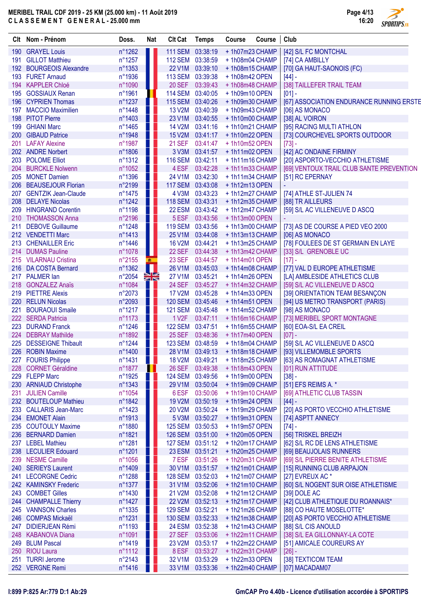Page 4/13 16:20 **SPORTIPS.FR** 

|     | Clt Nom - Prénom                          | Doss.            | <b>Nat</b> | <b>Clt Cat</b>                 | <b>Temps</b>                         | Course                           | Course | Club                                                  |
|-----|-------------------------------------------|------------------|------------|--------------------------------|--------------------------------------|----------------------------------|--------|-------------------------------------------------------|
|     | 190 GRAYEL Louis                          | n°1262           | ш          | 111 SEM 03:38:19               |                                      | +1h07m23 CHAMP                   |        | [42] S/L FC MONTCHAL                                  |
| 191 | <b>GILLOT Matthieu</b>                    | n°1257           |            | 112 SEM 03:38:59               |                                      | +1h08m04 CHAMP                   |        | [74] CA AMBILLY                                       |
|     | 192 BOURGEOIS Alexandre                   | n°1353           |            | <b>22 V1M</b>                  | 03:39:10                             | +1h08m15 CHAMP                   |        | [70] GA HAUT-SAONOIS (FC)                             |
|     | 193 FURET Arnaud                          | n°1936           |            | <b>113 SEM</b>                 | 03:39:38                             | +1h08m42 OPEN                    |        | $[44] -$                                              |
|     | 194 KAPPLER Chloé                         | n°1090           |            | <b>20 SEF</b>                  | 03:39:43                             | +1h08m48 CHAMP                   |        | [38] TAILLEFER TRAIL TEAM                             |
| 195 | <b>GOSSIAUX Renan</b>                     | n°1961           | ш          | 114 SEM 03:40:05               |                                      | +1h09m10 OPEN                    |        | $[01] -$                                              |
| 196 | <b>CYPRIEN Thomas</b>                     | n°1237           |            | 115 SEM 03:40:26               |                                      | +1h09m30 CHAMP                   |        | [67] ASSOCIATION ENDURANCE RUNNING ERSTE              |
|     | 197 MACCIO Maximilien                     | n°1448           |            | <b>13 V2M</b>                  | 03:40:39                             | +1h09m43 CHAMP                   |        | [06] AS MONACO                                        |
| 198 | <b>PITOT Pierre</b>                       | n°1403           | . .        | 23 V1M                         | 03:40:55                             | +1h10m00 CHAMP                   |        | [38] AL VOIRON                                        |
| 199 | <b>GHIANI Marc</b>                        | n°1465           |            | 14 V2M                         | 03:41:16                             | +1h10m21 CHAMP                   |        | [95] RACING MULTI ATHLON                              |
|     | 200 GIBAUD Patrice<br>201 LAFAY Alexine   | n°1948           | T P        | <b>15 V2M</b><br><b>21 SEF</b> | 03:41:17<br>03:41:47                 | +1h10m22 OPEN                    |        | [73] COURCHEVEL SPORTS OUTDOOR                        |
|     | 202 ANDRE Norbert                         | n°1987<br>n°1806 |            | 3 V3M                          | 03:41:57                             | +1h10m52 OPEN<br>$+1h11m02$ OPEN |        | $[73] -$<br>[42] AC ONDAINE FIRMINY                   |
|     | 203 POLOME Elliot                         | $n^{\circ}1312$  |            | 116 SEM 03:42:11               |                                      | +1h11m16 CHAMP                   |        | [20] ASPORTO-VECCHIO ATHLETISME                       |
| 204 | <b>BURCKLE Nolwenn</b>                    | n°1052           |            | 4 ESF                          | 03:42:28                             | +1h11m33 CHAMP                   |        | [69] VENTOUX TRAIL CLUB SANTE PREVENTION              |
|     | 205 MONET Damien                          | n°1396           |            | 24 V1M                         | 03:42:30                             | +1h11m34 CHAMP                   |        | [51] RC EPERNAY                                       |
|     | 206 BEAUSEJOUR Florian                    | n°2199           | w          | <b>117 SEM</b>                 | 03:43:08                             | +1h12m13 OPEN                    |        |                                                       |
|     | 207 GENTZIK Jean-Claude                   | n°1475           |            | 4 V3M                          | 03:43:23                             | +1h12m27 CHAMP                   |        | [74] ATHLE ST-JULIEN 74                               |
|     | 208 DELAYE Nicolas                        | $n^{\circ}1242$  |            | 118 SEM 03:43:31               |                                      | +1h12m35 CHAMP                   |        | [88] TR AILLEURS                                      |
|     | 209 HINGRAND Corentin                     | n°1198           |            |                                | 22 ESM 03:43:42                      | +1h12m47 CHAMP                   |        | [59] S/L AC VILLENEUVE D ASCQ                         |
|     | 210 THOMASSON Anna                        | n°2196           |            | 5 ESF                          | 03:43:56                             | +1h13m00 OPEN                    |        |                                                       |
|     | 211 DEBOVE Guillaume                      | n°1248           |            | 119 SEM 03:43:56               |                                      | +1h13m00 CHAMP                   |        | [73] AS DE COURSE A PIED VEO 2000                     |
|     | 212 VENDETTI Marc                         | n°1413           |            | 25 V1M                         | 03:44:08                             | +1h13m13 CHAMP                   |        | [06] AS MONACO                                        |
|     | 213 CHENAILLER Eric                       | n°1446           |            | <b>16 V2M</b>                  | 03:44:21                             | +1h13m25 CHAMP                   |        | [78] FOULEES DE ST GERMAIN EN LAYE                    |
|     | 214 DUMAS Pauline                         | n°1078           | ш          | 22 SEF                         | 03:44:38                             | +1h13m42 CHAMP                   |        | [33] S/L GRENOBLE UC                                  |
|     | 215 VILARNAU Cristina                     | n°2155           | ■          | <b>23 SEF</b>                  | 03:44:57                             | +1h14m01 OPEN                    |        | $[17] -$                                              |
|     | 216 DA COSTA Bernard                      | n°1362           | Ш          | 26 V1M                         | 03:45:03                             | +1h14m08 CHAMP                   |        | [77] VAL D EUROPE ATHLETISME                          |
|     | 217 PALMER lan                            | n°2054           | XR         | 27 V1M                         | 03:45:21                             | +1h14m26 OPEN                    |        | [LA] AMBLESIDE ATHLETICS CLUB                         |
|     | 218 GONZALEZ Anaïs                        | n°1084           |            | <b>24 SEF</b>                  | 03:45:27                             | +1h14m32 CHAMP                   |        | [59] S/L AC VILLENEUVE D ASCQ                         |
|     | 219 PIETTRE Alexis                        | n°2073           |            | 17 V2M                         | 03:45:28                             | +1h14m33 OPEN                    |        | [39] ORIENTATION TEAM BESANÇON                        |
|     | 220 RELUN Nicolas                         | n°2093           |            | 120 SEM 03:45:46               |                                      | +1h14m51 OPEN                    |        | [94] US METRO TRANSPORT (PARIS)                       |
|     | 221 BOURAOUI Smaile                       | n°1217           |            | 121 SEM 03:45:48               |                                      | +1h14m52 CHAMP                   |        | [98] AS MONACO                                        |
|     | 222 SERDA Patricia                        | n°1173           |            | 1 V <sub>2</sub> F             | 03:47:11                             | +1h16m16 CHAMP                   |        | [73] MERIBEL SPORT MONTAGNE                           |
|     | 223 DURAND Franck                         | n°1246           |            | 122 SEM 03:47:51               |                                      | +1h16m55 CHAMP                   |        | [60] EOA-S/L EA CREIL                                 |
|     | 224 DEBRAY Mathilde                       | n°1892           |            |                                | 25 SEF 03:48:36                      | +1h17m40 OPEN                    |        | $[07] -$                                              |
|     | 225 DESSEIGNE Thibault                    | n°1244           |            |                                | 123 SEM 03:48:59                     | +1h18m04 CHAMP                   |        | [59] S/L AC VILLENEUVE D ASCQ                         |
|     | 226 ROBIN Maxime                          | $n^{\circ}$ 1400 |            |                                |                                      | 28 V1M 03:49:13 + 1h18m18 CHAMP  |        | [93] VILLEMOMBLE SPORTS                               |
|     | 227 FOURIS Philippe                       | n°1431           |            |                                | 18 V2M 03:49:21                      | +1h18m25 CHAMP                   |        | [63] AS ROMAGNAT ATHLETISME                           |
|     | 228 CORNET Géraldine                      | n°1877           | ш          | <b>26 SEF</b>                  | 03:49:38                             | +1h18m43 OPEN                    |        | [01] RUN ATTITUDE                                     |
|     | 229 FLEPP Marc                            | n°1925           | ш          |                                | 124 SEM 03:49:56                     | +1h19m00 OPEN                    |        | $[38] -$                                              |
|     | 230 ARNIAUD Christophe                    | n°1343           |            | 29 V1M                         | 03:50:04                             | +1h19m09 CHAMP                   |        | [51] EFS REIMS A. *                                   |
|     | 231 JULIEN Camille                        | n°1054           |            | 6 ESF                          | 03:50:06                             | +1h19m10 CHAMP                   |        | [69] ATHLETIC CLUB TASSIN                             |
|     | 232 BOUTELOUP Mathieu                     | n°1842           |            | 19 V2M                         | 03:50:19                             | $+1h19m24$ OPEN                  |        | $[44] -$                                              |
|     | 233 CALLARIS Jean-Marc                    | n°1423           |            | <b>20 V2M</b>                  | 03:50:24                             | +1h19m29 CHAMP                   |        | [20] AS PORTO VECCHIO ATHLETISME                      |
|     | 234 EMONET Alain                          | n°1913           |            | 5 V3M                          | 03:50:27                             | +1h19m31 OPEN                    |        | [74] ASPTT ANNECY                                     |
|     | 235 COUTOULY Maxime<br>236 BERNARD Damien | n°1880           |            |                                | 125 SEM 03:50:53<br>126 SEM 03:51:00 | +1h19m57 OPEN                    |        | $[74] -$                                              |
|     | 237 LEBEL Mathieu                         | n°1821<br>n°1281 |            |                                | 127 SEM 03:51:12                     | +1h20m05 OPEN<br>+1h20m17 CHAMP  |        | [56] TRISKEL BREIZH<br>[62] S/L RC DE LENS ATHLETISME |
|     | 238 LECULIER Edouard                      | n°1201           |            |                                | 23 ESM 03:51:21                      | +1h20m25 CHAMP                   |        | [69] BEAUJOLAIS RUNNERS                               |
|     | 239 NESME Camille                         | n°1056           |            | 7 ESF                          | 03:51:26                             | +1h20m31 CHAMP                   |        | [69] S/L PIERRE BENITE ATHLETISME                     |
|     | 240 SERIEYS Laurent                       | n°1409           |            | 30 V1M                         | 03:51:57                             | +1h21m01 CHAMP                   |        | [15] RUNNING CLUB ARPAJON                             |
|     | 241 LECORGNE Cedric                       | n°1288           |            | 128 SEM 03:52:03               |                                      | +1h21m07 CHAMP                   |        | [27] EVREUX AC*                                       |
|     | 242 KAMINSKY Frederic                     | n°1377           |            | 31 V1M                         | 03:52:06                             | +1h21m10 CHAMP                   |        | [60] S/L NOGENT SUR OISE ATHLETISME                   |
|     | 243 COMBET Gilles                         | n°1430           |            | 21 V2M                         | 03:52:08                             | +1h21m12 CHAMP                   |        | [39] DOLE AC                                          |
|     | 244 CHAMPALLE Thierry                     | n°1427           |            | <b>22 V2M</b>                  | 03:52:13                             | +1h21m17 CHAMP                   |        | [42] CLUB ATHLETIQUE DU ROANNAIS*                     |
|     | 245 VANNSON Charles                       | n°1335           |            | 129 SEM 03:52:21               |                                      | +1h21m26 CHAMP                   |        | [88] CO HAUTE MOSELOTTE*                              |
|     | 246 COMPAS Mickaël                        | n°1231           |            | 130 SEM 03:52:33               |                                      | +1h21m38 CHAMP                   |        | [20] AS PORTO VECCHIO ATHLETISME                      |
|     | 247 DIDIERJEAN Rémi                       | n°1193           |            |                                | 24 ESM 03:52:38                      | +1h21m43 CHAMP                   |        | [88] S/L CIS ANOULD                                   |
|     | 248 KABANOVA Diana                        | n°1091           |            |                                | 27 SEF 03:53:06                      | +1h22m11 CHAMP                   |        | [38] S/L EA GILLONNAY-LA COTE                         |
|     | 249 BLUM Pascal                           | n°1419           |            | 23 V2M                         | 03:53:17                             | +1h22m22 CHAMP                   |        | [51] AMICALE COUREURS AY                              |
|     | 250 RIOU Laura                            | n°1112           |            |                                | 8 ESF 03:53:27                       | +1h22m31 CHAMP                   |        | $[26] -$                                              |
|     | 251 TURRI Jerome                          | n°2143           |            | 32 V1M                         | 03:53:29                             | +1h22m33 OPEN                    |        | [38] TEXTICOM TEAM                                    |
|     | 252 VERGNE Remi                           | n°1416           |            | 33 V1M                         | 03:53:36                             | +1h22m40 CHAMP                   |        | [07] MACADAM07                                        |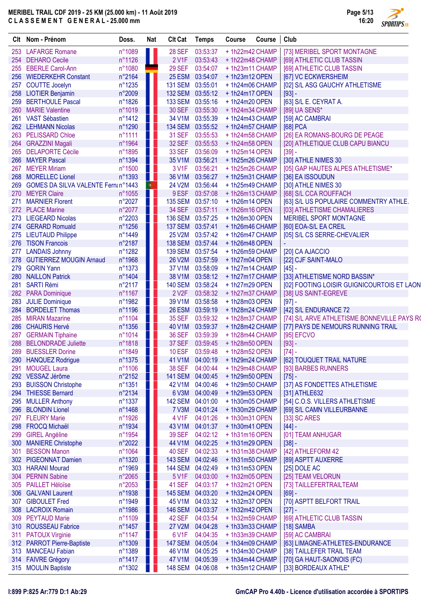$\overline{\phantom{a}}$ 

|     | Clt Nom - Prénom                                              | Doss.            | <b>Nat</b> | <b>CIt Cat</b>           | <b>Temps</b>         | Course                           | Course | Club                                        |
|-----|---------------------------------------------------------------|------------------|------------|--------------------------|----------------------|----------------------------------|--------|---------------------------------------------|
|     | 253 LAFARGE Romane                                            | n°1089           |            | <b>28 SEF</b>            | 03:53:37             | +1h22m42 CHAMP                   |        | [73] MERIBEL SPORT MONTAGNE                 |
|     | 254 DEHARO Cecile                                             | n°1126           | Ш          | 2 V1F                    | 03:53:43             | +1h22m48 CHAMP                   |        | [69] ATHLETIC CLUB TASSIN                   |
|     | 255 EBERLE Carol-Ann                                          | n°1080           |            | <b>29 SEF</b>            | 03:54:07             | +1h23m11 CHAMP                   |        | [69] ATHLETIC CLUB TASSIN                   |
|     | 256 WIEDERKEHR Constant                                       | n°2164           |            |                          | 25 ESM 03:54:07      | +1h23m12 OPEN                    |        | [67] VC ECKWERSHEIM                         |
|     | 257 COUTTE Jocelyn                                            | n°1235           |            | <b>131 SEM</b>           | 03:55:01             | +1h24m06 CHAMP                   |        | [02] S/L ASG GAUCHY ATHLETISME              |
|     | 258 LIOTIER Benjamin                                          | n°2009           |            | <b>132 SEM</b>           | 03:55:12             | +1h24m17 OPEN                    |        | $[93] -$                                    |
|     | 259 BERTHOULE Pascal                                          | n°1826           |            | <b>133 SEM</b>           | 03:55:16             | +1h24m20 OPEN                    |        | [63] S/L E. CEYRAT A.                       |
| 260 | <b>MARIE Valentine</b>                                        | n°1019           |            | <b>30 SEF</b>            | 03:55:30             | +1h24m34 CHAMP                   |        | [89] UA SENS*                               |
|     | 261 VAST Sébastien                                            | n°1412           |            | 34 V1M                   | 03:55:39             | +1h24m43 CHAMP                   |        | [59] AC CAMBRAI                             |
|     | 262 LEHMANN Nicolas                                           | n°1290           |            | <b>134 SEM</b>           | 03:55:52             | +1h24m57 CHAMP                   |        | [68] PCA                                    |
| 263 | <b>PELISSARD Chloe</b>                                        | n°1111           |            | <b>31 SEF</b>            | 03:55:53             | +1h24m58 CHAMP                   |        | [26] EA ROMANS-BOURG DE PEAGE               |
|     | 264 GRAZZINI Magali                                           | n°1964           |            | <b>32 SEF</b>            | 03:55:53             | +1h24m58 OPEN                    |        | [20] ATHLETIQUE CLUB CAPU BIANCU            |
|     | 265 DELAPORTE Cécile                                          | n°1895           |            | <b>33 SEF</b>            | 03:56:09             | $+1h25m14$ OPEN                  |        | $[39] -$                                    |
|     | 266 MAYER Pascal                                              | n°1394           |            | 35 V1M                   | 03:56:21             | +1h25m26 CHAMP                   |        | [30] ATHLE NIMES 30                         |
| 267 | <b>MEYER Miriam</b>                                           | n°1500           |            | 3 V1F                    | 03:56:21             | +1h25m26 CHAMP                   |        | [05] GAP HAUTES ALPES ATHLETISME*           |
|     | 268 MORELLEC Lionel                                           | n°1393           | ПU         | 36 V1M                   | 03:56:27             | +1h25m31 CHAMP                   |        | [36] EA ISSOUDUN                            |
|     | 269 GOMES DA SILVA VALENTE Fernanº1443<br><b>MEYER Claire</b> | n°1055           | 喇          | <b>24 V2M</b>            | 03:56:44             | +1h25m49 CHAMP<br>+1h26m13 CHAMP |        | [30] ATHLE NIMES 30                         |
| 270 |                                                               |                  |            | 9 ESF                    | 03:57:08             |                                  |        | [68] S/L CCA ROUFFACH                       |
| 271 | <b>MARNIER Florent</b>                                        | n°2027           |            | <b>135 SEM</b>           | 03:57:10             | $+1h26m14$ OPEN                  |        | [63] S/L US POPULAIRE COMMENTRY ATHLE.      |
|     | 272 PLACE Marine<br>273 LIEGEARD Nicolas                      | n°2077           |            | <b>34 SEF</b>            | 03:57:11             | +1h26m16 OPEN<br>+1h26m30 OPEN   |        | [03] ATHLETISME CHAMALIERES                 |
|     |                                                               | n°2203           |            | <b>136 SEM</b>           | 03:57:25             |                                  |        | MERIBEL SPORT MONTAGNE                      |
|     | 274 GERARD Romuald                                            | n°1256           |            | <b>137 SEM</b><br>25 V2M | 03:57:41<br>03:57:42 | +1h26m46 CHAMP                   |        | [60] EOA-S/L EA CREIL                       |
|     | 275 LIEUTAUD Philippe<br>276 TISON Francois                   | n°1449<br>n°2187 |            | <b>138 SEM</b>           | 03:57:44             | +1h26m47 CHAMP                   |        | [05] S/L CS SERRE-CHEVALIER                 |
|     | <b>LANDAIS Johnny</b>                                         | n°1282           |            | <b>139 SEM</b>           | 03:57:54             | $+1h26m48$ OPEN                  |        |                                             |
| 277 | 278 GUTIERREZ MOUGIN Arnaud                                   | n°1968           |            | 26 V2M                   | 03:57:59             | +1h26m59 CHAMP<br>+1h27m04 OPEN  |        | [20] CA AJACCIO<br>[22] CJF SAINT-MALO      |
|     | 279 GORIN Yann                                                | n°1373           |            | 37 V1M                   | 03:58:09             | +1h27m14 CHAMP                   |        |                                             |
|     | 280 NAILLON Patrick                                           | n°1404           |            | 38 V1M                   | 03:58:12             | + 1h27m17 CHAMP                  |        | $[45] -$<br>[33] ATHLETISME NORD BASSIN*    |
|     | 281 SARTI Rémi                                                | n°2117           |            | <b>140 SEM</b>           | 03:58:24             | $+1h27m29$ OPEN                  |        | [02] FOOTING LOISIR GUIGNICOURTOIS ET LAON  |
|     | 282 PARA Dominique                                            | n°1167           |            | 2 V <sub>2</sub> F       | 03:58:32             | +1h27m37 CHAMP                   |        | [38] US SAINT-EGREVE                        |
|     | 283 JULIE Dominique                                           | n°1982           |            | 39 V1M                   | 03:58:58             | +1h28m03 OPEN                    |        | $[97] -$                                    |
| 284 | <b>BORDELET Thomas</b>                                        | n°1196           |            | 26 ESM                   | 03:59:19             | +1h28m24 CHAMP                   |        | [42] S/L ENDURANCE 72                       |
|     | 285 MIRAN Mazarine                                            | n°1104           |            | <b>35 SEF</b>            | 03:59:32             | +1h28m37 CHAMP                   |        | [74] S/L ARVE ATHLETISME BONNEVILLE PAYS RO |
|     | 286 CHAURIS Hervé                                             | n°1356           |            | 40 V1M                   | 03:59:37             | +1h28m42 CHAMP                   |        | [77] PAYS DE NEMOURS RUNNING TRAIL          |
|     | 287 GERMAIN Tiphaine                                          | n°1014           |            | <b>36 SEF</b>            | 03:59:39             | +1h28m44 CHAMP                   |        | [95] EFCVO                                  |
|     | 288 BELONDRADE Juliette                                       | n°1818           |            | 37 SEF                   | 03:59:45             | +1h28m50 OPEN                    |        | $[93] -$                                    |
|     | 289 BUESSLER Dorine                                           | n°1849           |            |                          | 10 ESF 03:59:48      | +1h28m52 OPEN                    |        | [74]                                        |
|     | 290 HANQUEZ Rodrigue                                          | n°1375           |            | 41 V1M                   | 04:00:19             | +1h29m24 CHAMP                   |        | [62] TOUQUET TRAIL NATURE                   |
| 291 | <b>MOUGEL Laura</b>                                           | n°1106           |            | 38 SEF                   | 04:00:44             | +1h29m48 CHAMP                   |        | [93] BARBES RUNNERS                         |
|     | 292 VESSAZ Jérôme                                             | n°2152           |            | <b>141 SEM</b>           | 04:00:45             | +1h29m50 OPEN                    |        | $[75] -$                                    |
|     | 293 BUISSON Christophe                                        | n°1351           |            | 42 V1M                   | 04:00:46             | +1h29m50 CHAMP                   |        | [37] AS FONDETTES ATHLETISME                |
| 294 | <b>THIESSE Bernard</b>                                        | n°2134           |            | 6 V3M                    | 04:00:49             | $+1h29m53$ OPEN                  |        | [31] ATHLE632                               |
| 295 | <b>MULLER Anthony</b>                                         | n°1337           |            | <b>142 SEM</b>           | 04:01:00             | +1h30m05 CHAMP                   |        | [54] C.O.S. VILLERS ATHLETISME              |
| 296 | <b>BLONDIN Lionel</b>                                         | n°1468           |            | <b>7 V3M</b>             | 04:01:24             | +1h30m29 CHAMP                   |        | [69] S/L CAMN VILLEURBANNE                  |
| 297 | <b>FLEURY Marie</b>                                           | n°1926           |            | 4 V1F                    | 04:01:26             | +1h30m31 OPEN                    |        | [33] SC ARES                                |
| 298 | <b>FROCQ Michaël</b>                                          | n°1934           |            | 43 V1M                   | 04:01:37             | +1h30m41 OPEN                    |        | $[44] -$                                    |
| 299 | <b>GIREL Angéline</b>                                         | n°1954           |            | <b>39 SEF</b>            | 04:02:12             | $+1h31m16$ OPEN                  |        | [01] TEAM ANHUGAR                           |
| 300 | <b>MANIERE Christophe</b>                                     | n°2022           |            | 44 V1M                   | 04:02:25             | $+1h31m29$ OPEN                  |        | $[38] -$                                    |
| 301 | <b>BESSON Manon</b>                                           | n°1064           |            | <b>40 SEF</b>            | 04:02:33             | +1h31m38 CHAMP                   |        | [42] ATHLEFORM 42                           |
|     | 302 PIGEONNAT Damien                                          | n°1320           |            | <b>143 SEM</b>           | 04:02:46             | +1h31m50 CHAMP                   |        | [89] ASPTT AUXERRE                          |
|     | 303 HARANI Mourad                                             | n°1969           |            | <b>144 SEM</b>           | 04:02:49             | +1h31m53 OPEN                    |        | [25] DOLE AC                                |
| 304 | <b>PERNIN Sabine</b>                                          | n°2065           |            | 5 V1F                    | 04:03:00             | +1h32m05 OPEN                    |        | [25] TEAM VELORUN                           |
|     | 305 PAILLET Héloïse                                           | n°2053           |            | <b>41 SEF</b>            | 04:03:17             | +1h32m21 OPEN                    |        | [73] TAILLEFERTRAILTEAM                     |
|     | 306 GALVANI Laurent                                           | n°1938           |            | <b>145 SEM</b>           | 04:03:20             | +1h32m24 OPEN                    |        | $[69] -$                                    |
| 307 | <b>GIBOULET Fred</b>                                          | n°1949           |            | 45 V1M                   | 04:03:32             | +1h32m37 OPEN                    |        | [70] ASPTT BELFORT TRAIL                    |
|     | 308 LACROIX Romain                                            | n°1986           |            | <b>146 SEM</b>           | 04:03:37             | +1h32m42 OPEN                    |        | $[27] -$                                    |
|     | 309 PEYTAUD Marie                                             | n°1109           |            | 42 SEF                   | 04:03:54             | +1h32m59 CHAMP                   |        | [69] ATHLETIC CLUB TASSIN                   |
| 310 | <b>ROUSSEAU Fabrice</b>                                       | n°1457           |            | 27 V2M                   | 04:04:28             | +1h33m33 CHAMP                   |        | [18] SAMBA                                  |
| 311 | <b>PATOUX Virginie</b>                                        | n°1147           |            | 6 V1F                    | 04:04:35             | +1h33m39 CHAMP                   |        | [59] AC CAMBRAI                             |
|     | 312 PARROT Pierre-Baptiste                                    | n°1309           |            | <b>147 SEM</b>           | 04:05:04             | +1h34m09 CHAMP                   |        | [63] LIMAGNE-ATHLETES-ENDURANCE             |
| 313 | <b>MANCEAU Fabian</b>                                         | n°1389           |            | 46 V1M                   | 04:05:25             | +1h34m30 CHAMP                   |        | [38] TAILLEFER TRAIL TEAM                   |
|     | 314 FAIVRE Grégory                                            | n°1417           |            | 47 V1M                   | 04:05:39             | +1h34m44 CHAMP                   |        | [70] GA HAUT-SAONOIS (FC)                   |
|     | 315 MOULIN Baptiste                                           | n°1302           |            | <b>148 SEM</b>           | 04:06:08             | +1h35m12 CHAMP                   |        | [33] BORDEAUX ATHLE*                        |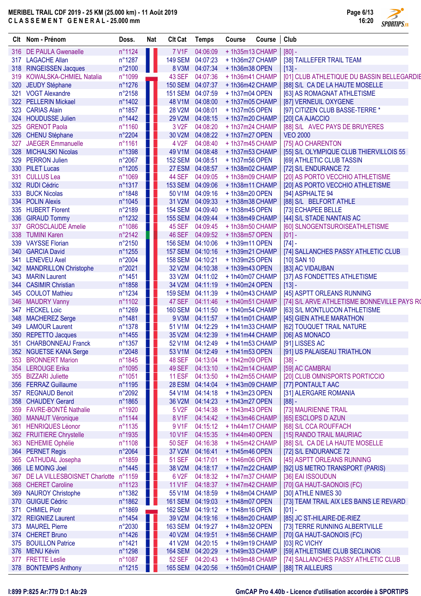Page 6/13 16:20 SPORTIPS.<sub>FR</sub>

|     | Clt Nom - Prénom                          | Doss.            | Nat            | <b>Clt Cat</b>          | <b>Temps</b>         | <b>Course</b>                   | Course | Club                                                |
|-----|-------------------------------------------|------------------|----------------|-------------------------|----------------------|---------------------------------|--------|-----------------------------------------------------|
|     | 316 DE PAULA Gwenaelle                    | n°1124           |                | <b>7 V1F</b>            | 04:06:09             | +1h35m13 CHAMP                  |        | $[80] -$                                            |
|     | 317 LAGACHE Allan                         | n°1287           | ш              | 149 SEM 04:07:23        |                      | +1h36m27 CHAMP                  |        | [38] TAILLEFER TRAIL TEAM                           |
|     | 318 RINGEISSEN Jacques                    | n°2100           | Ш              | 8 V3M                   | 04:07:34             | +1h36m38 OPEN                   |        | $[13] -$                                            |
|     | 319 KOWALSKA-CHMIEL Natalia               | n°1099           | ÷              | <b>43 SEF</b>           | 04:07:36             | +1h36m41 CHAMP                  |        | [01] CLUB ATHLETIQUE DU BASSIN BELLEGARDIE          |
|     | 320 JEUDY Stéphane                        | $n^{\circ}1276$  | Ш              | <b>150 SEM</b>          | 04:07:37             | +1h36m42 CHAMP                  |        | [88] S/L CA DE LA HAUTE MOSELLE                     |
|     | 321 VOGT Alexandre                        | $n^{\circ}2158$  | H.             | <b>151 SEM</b>          | 04:07:59             | +1h37m04 OPEN                   |        | [63] AS ROMAGNAT ATHLETISME                         |
|     | 322 PELLERIN Mickael                      | n°1402           |                | 48 V1M                  | 04:08:00             | +1h37m05 CHAMP                  |        | [87] VERNEUIL OXYGENE                               |
|     | 323 CARIAS Alain                          | n°1857           |                | 28 V2M                  | 04:08:01             | +1h37m05 OPEN                   |        | [97] CITIZEN CLUB BASSE-TERRE *                     |
|     | 324 HOUDUSSE Julien                       | $n^{\circ}$ 1442 |                | 29 V2M                  | 04:08:15             | +1h37m20 CHAMP                  |        | [20] CA AJACCIO                                     |
| 325 | <b>GRENOT Paola</b>                       | n°1160           |                | 3 V <sub>2</sub> F      | 04:08:20             | +1h37m24 CHAMP                  |        | [88] S/L AVEC PAYS DE BRUYERES                      |
|     | 326 CHENU Stéphane                        | n°2204           |                | 30 V2M                  | 04:08:22             | +1h37m27 OPEN                   |        | <b>VEO 2000</b>                                     |
| 327 | <b>JAEGER Emmanuelle</b>                  | n°1161           |                | 4 V <sub>2</sub> F      | 04:08:40             | +1h37m45 CHAMP                  |        | [75] AO CHARENTON                                   |
|     | 328 MICHALSKI Nicolas                     | n°1398           | ш              | 49 V1M                  | 04:08:48             | +1h37m53 CHAMP                  |        | [55] S/L OLYMPIQUE CLUB THIERVILLOIS 55             |
| 329 | <b>PERRON Julien</b>                      | $n^{\circ}2067$  | $\blacksquare$ | 152 SEM 04:08:51        |                      | +1h37m56 OPEN                   |        | [69] ATHLETIC CLUB TASSIN                           |
|     | 330 PILET Lucas                           | n°1205           |                | 27 ESM                  | 04:08:57             | +1h38m02 CHAMP                  |        | [72] S/L ENDURANCE 72                               |
| 331 | <b>CULLUS Lea</b>                         | n°1069           | H              | <b>44 SEF</b>           | 04:09:05             | +1h38m09 CHAMP                  |        | [20] AS PORTO VECCHIO ATHLETISME                    |
|     | 332 RUDI Cédric                           | n°1317           | Ш              | <b>153 SEM</b>          | 04:09:06             | +1h38m11 CHAMP                  |        | [20] AS PORTO VECCHIO ATHLETISME                    |
| 333 | <b>BUCK Nicolas</b>                       | n°1848           | . .            | 50 V1M                  | 04:09:16             | +1h38m20 OPEN                   |        | [94] ASPHALTE 94                                    |
|     | 334 POLIN Alexis                          | n°1045           | ш              | 31 V2M                  | 04:09:33             | +1h38m38 CHAMP                  |        | [88] S/L BELFORT ATHLE                              |
|     | 335 HUBERT Florent                        | n°2189           | Ш              | <b>154 SEM</b>          | 04:09:40             | +1h38m45 OPEN                   |        | [73] ECHAPEE BELLE                                  |
|     | 336 GIRAUD Tommy                          | n°1232           | Ш              | 155 SEM 04:09:44        |                      | +1h38m49 CHAMP                  |        | [44] S/L STADE NANTAIS AC                           |
| 337 | <b>GROSCLAUDE Amelie</b>                  | n°1086           | Ш              | <b>45 SEF</b>           | 04:09:45             | +1h38m50 CHAMP                  |        | [60] SLNOGENTSUROISEATHLETISME                      |
|     | 338 TUMINI Karen                          | $n^{\circ}2142$  | Ш              | <b>46 SEF</b>           | 04:09:52             | +1h38m57 OPEN                   |        | $[01] -$                                            |
|     | 339 VAYSSE Florian                        | $n^{\circ}2150$  | H              | 156 SEM 04:10:06        |                      | $+1h39m11$ OPEN                 |        | $[74] -$                                            |
|     | 340 GARCIA David                          | n°1255           | Ш              | <b>157 SEM</b>          | 04:10:16             | +1h39m21 CHAMP                  |        | [74] SALLANCHES PASSY ATHLETIC CLUB                 |
| 341 | <b>LENEVEU Axel</b>                       | n°2004           | ш              | 158 SEM 04:10:21        |                      | +1h39m25 OPEN                   |        | $[10]$ SAN 10                                       |
|     | 342 MANDRILLON Christophe                 | n°2021           | w              | 32 V2M                  | 04:10:38             | +1h39m43 OPEN                   |        | [83] AC VIDAUBAN                                    |
| 343 | <b>MARIN Laurent</b>                      | $n^{\circ}$ 1451 |                | 33 V2M                  | 04:11:02             | +1h40m07 CHAMP                  |        | [37] AS FONDETTES ATHLETISME                        |
|     | 344 CASIMIR Christian                     | n°1858           | ш              | 34 V2M                  | 04:11:19             | $+1h40m24$ OPEN                 |        | $[13] -$                                            |
| 345 | <b>COULOT Mathieu</b>                     | $n^{\circ}1234$  | H.             | <b>159 SEM</b>          | 04:11:39             | +1h40m43 CHAMP                  |        | [45] ASPTT ORLEANS RUNNING                          |
|     | 346 MAUDRY Vanny                          | n°1102           |                | 47 SEF                  | 04:11:46             | +1h40m51 CHAMP                  |        | [74] S/L ARVE ATHLETISME BONNEVILLE PAYS RO         |
| 347 | <b>HECKEL Loic</b>                        | n°1269           | ш              | 160 SEM 04:11:50        |                      | +1h40m54 CHAMP                  |        | [63] S/L MONTLUCON ATHLETISME                       |
|     | 348 MACHEREZ Serge                        | n°1481           |                | 9 V3M                   | 04:11:57             | +1h41m01 CHAMP                  |        | [45] GIEN ATHLE MARATHON                            |
|     | 349 LAMOUR Laurent                        | $n^{\circ}1378$  |                | 51 V1M                  | 04:12:29             | +1h41m33 CHAMP                  |        | [62] TOUQUET TRAIL NATURE                           |
|     | 350 REPETTO Jacques                       | n°1455           |                | 35 V2M                  | 04:12:39             | +1h41m44 CHAMP                  |        | [06] AS MONACO                                      |
|     | 351 CHARBONNEAU Franck                    | n°1357           |                |                         | 52 V1M 04:12:49      | +1h41m53 CHAMP                  |        | [91] LISSES AC                                      |
|     | 352 NGUETSE KANA Serge                    | n°2048           |                |                         | 53 V1M 04:12:49      | +1h41m53 OPEN                   |        | [91] US PALAISEAU TRIATHLON                         |
|     | 353 BRONNERT Marion                       | n°1845           | Ш              | 48 SEF                  | 04:13:04             | +1h42m09 OPEN<br>+1h42m14 CHAMP |        | $[38] -$                                            |
|     | 354 LEROUGE Erika<br>355 BIZZARI Juliette | n°1095<br>n°1051 |                | 49 SEF<br><b>11 ESF</b> | 04:13:10<br>04:13:50 | +1h42m55 CHAMP                  |        | [59] AC CAMBRAI                                     |
|     | 356 FERRAZ Guillaume                      | n°1195           | H<br>ш         | <b>28 ESM</b>           | 04:14:04             | +1h43m09 CHAMP                  |        | [20] CLUB OMNISPORTS PORTICCIO<br>[77] PONTAULT AAC |
|     | 357 REGNAUD Benoit                        | n°2092           |                | 54 V1M                  | 04:14:18             | +1h43m23 OPEN                   |        |                                                     |
|     | 358 CHAUDEY Gerard                        | n°1865           |                | 36 V2M                  | 04:14:23             | +1h43m27 OPEN                   |        | [31] ALERGARE ROMANIA                               |
|     | 359 FAVRE-BONTÉ Nathalie                  | n°1920           |                | 5 V <sub>2</sub> F      | 04:14:38             | +1h43m43 OPEN                   |        | $[88] -$<br>[73] MAURIENNE TRAIL                    |
|     | 360 MANAUT Véronique                      | n°1144           |                | 8 V1F                   | 04:14:42             | +1h43m46 CHAMP                  |        | [65] ESCLOPS D AZUN                                 |
|     | 361 HENRIQUES Léonor                      | n°1135           | H              | 9 V1F                   | 04:15:12             | + 1h44m17 CHAMP                 |        | [68] S/L CCA ROUFFACH                               |
|     | 362 FRUITIERE Chrystelle                  | n°1935           | n l            | 10 V1F                  | 04:15:35             | +1h44m40 OPEN                   |        | [15] RANDO TRAIL MAURIAC                            |
|     | 363 NEHEMIE Ophélie                       | n°1108           | ш              | <b>50 SEF</b>           | 04:16:38             | +1h45m42 CHAMP                  |        | [88] S/L CA DE LA HAUTE MOSELLE                     |
|     | 364 PERNET Regis                          | $n^{\circ}2064$  | H              | 37 V2M                  | 04:16:41             | $+1h45m46$ OPEN                 |        | [72] S/L ENDURANCE 72                               |
|     | 365 CATHUDAL Josepha                      | n°1859           |                | <b>51 SEF</b>           | 04:17:01             | $+1h46m06$ OPEN                 |        | [45] ASPTT ORLEANS RUNNING                          |
|     | 366 LE MOING Joel                         | $n^{\circ}$ 1445 |                | 38 V2M                  | 04:18:17             | +1h47m22 CHAMP                  |        | [92] US METRO TRANSPORT (PARIS)                     |
|     | 367 DE LA VILLESBOISNET Charlotte         | n°1159           | a na           | 6 V <sub>2</sub> F      | 04:18:32             | + 1h47m37 CHAMP                 |        | [36] EAI ISSOUDUN                                   |
|     | 368 CHERET Caroline                       | $n^{\circ}1123$  | ш              | 11 V1F                  | 04:18:37             | +1h47m42 CHAMP                  |        | [70] GA HAUT-SAONOIS (FC)                           |
|     | 369 NAUROY Christophe                     | n°1382           | H.             | 55 V1M                  | 04:18:59             | +1h48m04 CHAMP                  |        | [30] ATHLE NIMES 30                                 |
|     | 370 GUIGUE Cédric                         | n°1862           | U              |                         | 161 SEM 04:19:03     | $+1h48m07$ OPEN                 |        | [73] TEAM TRAIL AIX LES BAINS LE REVARD             |
| 371 | <b>CHMIEL Piotr</b>                       | n°1869           |                |                         | 162 SEM 04:19:12     | $+1h48m16$ OPEN                 |        | $[01] -$                                            |
|     | 372 REIGNIEZ Laurent                      | n°1454           | ш              | 39 V2M                  | 04:19:16             | +1h48m20 CHAMP                  |        | [85] JC ST-HILAIRE-DE-RIEZ                          |
|     | 373 MAUREL Pierre                         | n°2030           |                | 163 SEM 04:19:27        |                      | $+1h48m32$ OPEN                 |        | [73] TERRE RUNNING ALBERTVILLE                      |
|     | 374 CHERET Bruno                          | n°1426           | ш              | 40 V2M                  | 04:19:51             | +1h48m56 CHAMP                  |        | [70] GA HAUT-SAONOIS (FC)                           |
|     | 375 BOUILLON Patrice                      | n°1421           |                | 41 V2M                  | 04:20:15             | +1h49m19 CHAMP                  |        | [03] RC VICHY                                       |
|     | 376 MENU Kévin                            | n°1298           |                | 164 SEM 04:20:29        |                      | +1h49m33 CHAMP                  |        | [59] ATHLETISME CLUB SECLINOIS                      |
| 377 | <b>FRETTE Leslie</b>                      | n°1087           |                | <b>52 SEF</b>           | 04:20:43             | +1h49m48 CHAMP                  |        | [74] SALLANCHES PASSY ATHLETIC CLUB                 |
|     | 378 BONTEMPS Anthony                      | n°1215           | LT I           |                         | 165 SEM 04:20:56     | +1h50m01 CHAMP                  |        | [88] TR AILLEURS                                    |
|     |                                           |                  |                |                         |                      |                                 |        |                                                     |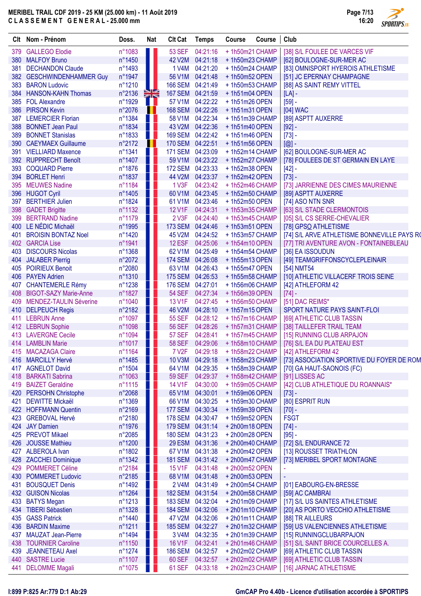Page 7/13 16:20

**SPORTIPS.FR** 

|     | Clt Nom - Prénom              | Doss.           | Nat           | <b>CIt Cat</b>   | <b>Temps</b>     | Course                         | Course | Club                                        |  |
|-----|-------------------------------|-----------------|---------------|------------------|------------------|--------------------------------|--------|---------------------------------------------|--|
| 379 | <b>GALLEGO Elodie</b>         | n°1083          |               | <b>53 SEF</b>    | 04:21:16         | +1h50m21 CHAMP                 |        | [38] S/L FOULEE DE VARCES VIF               |  |
|     | 380 MALFOY Bruno              | n°1450          |               | 42 V2M           | 04:21:18         | +1h50m23 CHAMP                 |        | [62] BOULOGNE-SUR-MER AC                    |  |
| 381 | <b>DECHANDON Claude</b>       | n°1493          |               | 1 V4M            | 04:21:20         | +1h50m24 CHAMP                 |        | [83] OMNISPORT HYEROIS ATHLETISME           |  |
|     | 382 GESCHWINDENHAMMER Guy     | n°1947          |               | 56 V1M           | 04:21:48         | +1h50m52 OPEN                  |        | [51] JC EPERNAY CHAMPAGNE                   |  |
| 383 | <b>BARON Ludovic</b>          | n°1210          |               |                  | 166 SEM 04:21:49 | +1h50m53 CHAMP                 |        | [88] AS SAINT REMY VITTEL                   |  |
| 384 | <b>HANSON-KAHN Thomas</b>     | n°2136          | $\frac{N}{N}$ |                  | 167 SEM 04:21:59 | $+1h51m04$ OPEN                |        | $[LA]$ -                                    |  |
| 385 | <b>FOL Alexandre</b>          | n°1929          |               | 57 V1M           | 04:22:22         | $+1h51m26$ OPEN                |        | $[59] -$                                    |  |
|     | 386 PIRSON Kevin              | n°2076          |               |                  | 168 SEM 04:22:26 | $+1h51m31$ OPEN                |        | [04] WAC                                    |  |
|     | 387 LEMERCIER Florian         | n°1384          |               | 58 V1M           | 04:22:34         | +1h51m39 CHAMP                 |        | [89] ASPTT AUXERRE                          |  |
|     | 388 BONNET Jean Paul          | n°1834          |               |                  | 43 V2M 04:22:36  | $+1h51m40$ OPEN                |        | $[92] -$                                    |  |
|     | 389 BONNET Stanislas          | n°1833          |               |                  | 169 SEM 04:22:42 | +1h51m46 OPEN                  |        | $[73] -$                                    |  |
|     | 390 CAEYMAEX Guillaume        | n°2172          | ш             | 170 SEM 04:22:51 |                  | +1h51m56 OPEN                  |        | $[@]$ -                                     |  |
| 391 | <b>VIELLIARD Maxence</b>      | n°1341          |               |                  | 171 SEM 04:23:09 | +1h52m14 CHAMP                 |        | [62] BOULOGNE-SUR-MER AC                    |  |
|     | 392 RUPPRECHT Benoît          | n°1407          | n a           | 59 V1M           | 04:23:22         | +1h52m27 CHAMP                 |        | [78] FOULEES DE ST GERMAIN EN LAYE          |  |
| 393 | <b>COQUARD Pierre</b>         | n°1876          |               |                  | 172 SEM 04:23:33 | +1h52m38 OPEN                  |        | $[42] -$                                    |  |
|     | 394 BORLET Henri              | n°1837          |               | 44 V2M           | 04:23:37         | +1h52m42 OPEN                  |        | $[73] -$                                    |  |
| 395 | <b>MEUWES Nadine</b>          | n°1184          | M.            | 1 V3F            | 04:23:42         | +1h52m46 CHAMP                 |        | [73] JARRIENNE DES CIMES MAURIENNE          |  |
|     | 396 HUGOT Cyril               | n°1405          |               | 60 V1M           | 04:23:45         | +1h52m50 CHAMP                 |        | [89] ASPTT AUXERRE                          |  |
| 397 | <b>BERTHIER Julien</b>        | n°1824          |               | 61 V1M           | 04:23:46         | +1h52m50 OPEN                  |        | [74] ASO NTN SNR                            |  |
|     |                               |                 |               |                  | 04:24:31         |                                |        |                                             |  |
| 398 | <b>GADET Brigitte</b>         | n°1132          |               | 12 V1F           |                  | +1h53m35 CHAMP                 |        | [63] S/L STADE CLERMONTOIS                  |  |
| 399 | <b>BERTRAND Nadine</b>        | n°1179          |               | 2 V3F            | 04:24:40         | +1h53m45 CHAMP                 |        | [05] S/L CS SERRE-CHEVALIER                 |  |
|     | 400 LE NÉDIC Michaël          | n°1995          |               |                  | 173 SEM 04:24:46 | $+1h53m51$ OPEN                |        | [78] GPSO ATHLETISME                        |  |
| 401 | <b>BROISIN BONTAZ Noel</b>    | n°1420          |               | 45 V2M           | 04:24:52         | +1h53m57 CHAMP                 |        | [74] S/L ARVE ATHLETISME BONNEVILLE PAYS RO |  |
|     | 402 GARCIA Lise               | n°1941          |               | <b>12 ESF</b>    | 04:25:06         | +1h54m10 OPEN                  |        | [77] TRI AVENTURE AVON - FONTAINEBLEAU      |  |
| 403 | <b>DISCOURS Nicolas</b>       | n°1368          |               | 62 V1M           | 04:25:49         | +1h54m54 CHAMP                 |        | [36] EA ISSOUDUN                            |  |
|     | 404 JALABER Pierrig           | $n^{\circ}2072$ |               |                  | 174 SEM 04:26:08 | +1h55m13 OPEN                  |        | [49] TEAMGRIFFONSCYCLEPLEINAIR              |  |
|     | 405 POIRIEUX Benoit           | n°2080          |               | 63 V1M           | 04:26:43         | +1h55m47 OPEN                  |        | [54] NMT54                                  |  |
|     | 406 PAYEN Adrien              | n°1310          |               |                  | 175 SEM 04:26:53 | +1h55m58 CHAMP                 |        | [10] ATHLETIC VILLACERF TROIS SEINE         |  |
| 407 | <b>CHANTEMERLE Rémy</b>       | n°1238          |               | 176 SEM 04:27:01 |                  | +1h56m06 CHAMP                 |        | [42] ATHLEFORM 42                           |  |
| 408 | <b>BIGOT-SAZY Marie-Anne</b>  | n°1827          |               | <b>54 SEF</b>    | 04:27:34         | +1h56m39 OPEN                  |        | $[74] -$                                    |  |
| 409 | <b>MENDEZ-TAULIN Séverine</b> | n°1040          |               | 13 V1F           | 04:27:45         | +1h56m50 CHAMP                 |        | [51] DAC REIMS*                             |  |
|     | 410 DELPEUCH Regis            | n°2182          |               | 46 V2M           | 04:28:10         | $+1h57m15$ OPEN                |        | SPORT NATURE PAYS SAINT-FLOI                |  |
|     | 411 LEBRUN Anne               | n°1097          |               | <b>55 SEF</b>    | 04:28:12         | +1h57m16 CHAMP                 |        | [69] ATHLETIC CLUB TASSIN                   |  |
|     | 412 LEBRUN Sophie             | n°1098          |               | <b>56 SEF</b>    | 04:28:26         | +1h57m31 CHAMP                 |        | [38] TAILLEFER TRAIL TEAM                   |  |
|     | 413 LAVERGNE Cecile           | n°1094          |               | <b>57 SEF</b>    | 04:28:41         | +1h57m45 CHAMP                 |        | [15] RUNNING CLUB ARPAJON                   |  |
|     | 414 LAMBLIN Marie             | n°1017          |               |                  | 58 SEF 04:29:06  | +1h58m10 CHAMP                 |        | [76] S/L EA DU PLATEAU EST                  |  |
|     | 415 MACAZAGA Claire           | n°1164          |               |                  |                  | 7 V2F 04:29:18 + 1h58m22 CHAMP |        | [42] ATHLEFORM 42                           |  |
|     | 416 MARCILLY Hervé            | n°1485          |               |                  | 10 V3M 04:29:18  | +1h58m23 CHAMP                 |        | [73] ASSOCIATION SPORTIVE DU FOYER DE ROM   |  |
| 417 | <b>AGNELOT David</b>          | $n^{\circ}1504$ |               | 64 V1M           | 04:29:35         | +1h58m39 CHAMP                 |        | [70] GA HAUT-SAONOIS (FC)                   |  |
| 418 | <b>BARKATI Sabrina</b>        | n°1063          |               | <b>59 SEF</b>    | 04:29:37         | +1h58m42 CHAMP                 |        | [91] LISSES AC                              |  |
| 419 | <b>BAIZET Geraldine</b>       | n°1115          |               | 14 V1F           | 04:30:00         | +1h59m05 CHAMP                 |        | [42] CLUB ATHLETIQUE DU ROANNAIS*           |  |
|     | 420 PERSOHN Christophe        | n°2068          |               | 65 V1M           | 04:30:01         | +1h59m06 OPEN                  |        | $[73] -$                                    |  |
| 421 | <b>DEWITTE Mickaël</b>        | n°1369          |               | 66 V1M           | 04:30:25         | +1h59m30 CHAMP                 |        | [80] ESPRIT RUN                             |  |
|     | 422 HOFFMANN Quentin          |                 |               |                  | 177 SEM 04:30:34 | +1h59m39 OPEN                  |        |                                             |  |
|     |                               | n°2169          |               |                  |                  |                                |        | $[70] -$                                    |  |
|     | 423 GREBOVAL Hervé            | n°2180          |               |                  | 178 SEM 04:30:47 | +1h59m52 OPEN                  |        | <b>FSGT</b>                                 |  |
|     | 424 JAY Damien                | n°1976          |               |                  | 179 SEM 04:31:14 | +2h00m18 OPEN                  |        | $[74] -$                                    |  |
|     | 425 PREVOT Mikael             | n°2085          |               |                  | 180 SEM 04:31:23 | +2h00m28 OPEN                  |        | $[95] -$                                    |  |
|     | 426 JOUSSE Mathieu            | n°1200          |               |                  | 29 ESM 04:31:36  | +2h00m40 CHAMP                 |        | [72] S/L ENDURANCE 72                       |  |
|     | 427 ALBEROLA Ivan             | n°1802          |               |                  | 67 V1M 04:31:38  | +2h00m42 OPEN                  |        | [13] ROUSSET TRIATHLON                      |  |
|     | 428 ZACCHEI Dominique         | $n^{\circ}1342$ |               |                  | 181 SEM 04:31:42 | +2h00m47 CHAMP                 |        | [73] MERIBEL SPORT MONTAGNE                 |  |
|     | 429 POMMERET Céline           | n°2184          |               | 15 V1F           | 04:31:48         | +2h00m52 OPEN                  |        |                                             |  |
|     | 430 POMMERET Ludovic          | n°2185          |               | 68 V1M           | 04:31:48         | +2h00m53 OPEN                  |        |                                             |  |
| 431 | <b>BOUSQUET Denis</b>         | n°1492          |               | 2 V4M            | 04:31:49         | +2h00m54 CHAMP                 |        | [01] EABOURG-EN-BRESSE                      |  |
|     | 432 GUISON Nicolas            | n°1264          |               |                  | 182 SEM 04:31:54 | +2h00m58 CHAMP                 |        | [59] AC CAMBRAI                             |  |
| 433 | <b>BATYS Megan</b>            | n°1213          |               | 183 SEM 04:32:04 |                  | +2h01m09 CHAMP                 |        | [17] S/L US SAINTES ATHLETISME              |  |
|     | 434 TIBERI Sébastien          | n°1328          |               |                  | 184 SEM 04:32:06 | +2h01m10 CHAMP                 |        | [20] AS PORTO VECCHIO ATHLETISME            |  |
|     | 435 GASS Patrick              | n°1440          |               | 47 V2M           | 04:32:06         | +2h01m11 CHAMP                 |        | [88] TR AILLEURS                            |  |
|     | 436 BARDIN Maxime             | n°1211          |               | 185 SEM 04:32:27 |                  | +2h01m32 CHAMP                 |        | [59] US VALENCIENNES ATHLETISME             |  |
|     | 437 MAUZAT Jean-Pierre        | n°1494          |               | 3 V4M            | 04:32:35         | +2h01m39 CHAMP                 |        | [15] RUNNINGCLUBARPAJON                     |  |
|     | 438 TOURNIER Caroline         | n°1150          |               | 16 V1F           | 04:32:41         | +2h01m46 CHAMP                 |        | [51] S/L SAINT BRICE COURCELLES A.          |  |
| 439 | JEANNETEAU Axel               | n°1274          |               |                  | 186 SEM 04:32:57 | +2h02m02 CHAMP                 |        | [69] ATHLETIC CLUB TASSIN                   |  |
|     | 440 SASTRE Lucie              | n°1107          |               |                  | 60 SEF 04:32:57  | +2h02m02 CHAMP                 |        | [69] ATHLETIC CLUB TASSIN                   |  |
|     | 441 DELOMME Magali            | n°1075          |               |                  | 61 SEF 04:33:18  | +2h02m23 CHAMP                 |        | [16] JARNAC ATHLETISME                      |  |
|     |                               |                 |               |                  |                  |                                |        |                                             |  |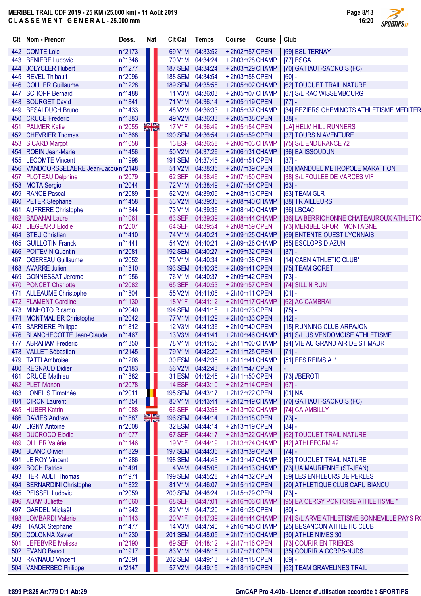| <b>SPORTIPS</b> <sub>FR</sub> |
|-------------------------------|

|      | Clt Nom - Prénom                      | Doss.           | <b>Nat</b> | <b>Clt Cat</b>   | <b>Temps</b>    | <b>Course</b>                  | Course | Club                                        |
|------|---------------------------------------|-----------------|------------|------------------|-----------------|--------------------------------|--------|---------------------------------------------|
|      | 442 COMTE Loic                        | n°2173          |            | 69 V1M           | 04:33:52        | +2h02m57 OPEN                  |        | [69] ESL TERNAY                             |
| 443  | <b>BENIERE Ludovic</b>                | n°1346          |            | 70 V1M           | 04:34:24        | +2h03m28 CHAMP                 |        | [77] BSGA                                   |
| 444  | <b>JOLYCLER Hubert</b>                | n°1277          |            | 187 SEM 04:34:24 |                 | +2h03m29 CHAMP                 |        | [70] GA HAUT-SAONOIS (FC)                   |
| 445  | <b>REVEL Thibault</b>                 | n°2096          |            | 188 SEM 04:34:54 |                 | +2h03m58 OPEN                  |        | $[60] -$                                    |
| 446  | <b>COLLIER Guillaume</b>              | n°1228          |            | 189 SEM 04:35:58 |                 | +2h05m02 CHAMP                 |        | [62] TOUQUET TRAIL NATURE                   |
| 447  | <b>SCHOPP Bernard</b>                 | n°1488          | H.         | <b>11 V3M</b>    | 04:36:03        | +2h05m07 CHAMP                 |        | [67] S/L RAC WISSEMBOURG                    |
| 448  | <b>BOURGET David</b>                  | n°1841          | . .        | 71 V1M           | 04:36:14        | +2h05m19 OPEN                  |        | $[77] -$                                    |
| 449  | <b>BESALDUCH Bruno</b>                | n°1433          | H.         | 48 V2M           | 04:36:33        | +2h05m37 CHAMP                 |        | [34] BEZIERS CHEMINOTS ATHLETISME MEDITER   |
| 450  | <b>CRUCE Frederic</b>                 | n°1883          | n li       | 49 V2M           | 04:36:33        | +2h05m38 OPEN                  |        | $[38] -$                                    |
| 451  | <b>PALMER Katie</b>                   | n°2055          | XR         | <b>17 V1F</b>    | 04:36:49        | +2h05m54 OPEN                  |        | [LA] HELM HILL RUNNERS                      |
| 452  | <b>CHEVRIER Thomas</b>                | n°1868          |            | 190 SEM 04:36:54 |                 | +2h05m59 OPEN                  |        | [37] TOURS N AVENTURE                       |
| 453  | <b>SICARD Margot</b>                  | n°1058          |            | 13 ESF           | 04:36:58        | +2h06m03 CHAMP                 |        | [75] S/L ENDURANCE 72                       |
|      | 454 ROBIN Jean-Marie                  | n°1456          |            | 50 V2M           | 04:37:26        | +2h06m31 CHAMP                 |        | [36] EA ISSOUDUN                            |
| 455  | <b>LECOMTE Vincent</b>                | n°1998          |            | <b>191 SEM</b>   | 04:37:46        | +2h06m51 OPEN                  |        | $[37] -$                                    |
|      | 456 VANDOORSSELAERE Jean-Jacquin°2148 |                 |            | 51 V2M           | 04:38:35        | +2h07m39 OPEN                  |        | [30] MANDUEL METROPOLE MARATHON             |
| 457  | <b>PLOTEAU Delphine</b>               | n°2079          |            | 62 SEF           | 04:38:46        | +2h07m50 OPEN                  |        | [38] S/L FOULEE DE VARCES VIF               |
|      | 458 MOTA Sergio                       | n°2044          |            | <b>72 V1M</b>    | 04:38:49        | +2h07m54 OPEN                  |        | $[63] -$                                    |
| 459  | <b>RANCE Pascal</b>                   | n°2089          |            | 52 V2M           | 04:39:09        | +2h08m13 OPEN                  |        | [63] TEAM GLR                               |
| 460  | <b>PETER Stephane</b>                 | n°1458          |            | 53 V2M           | 04:39:35        | +2h08m40 CHAMP                 |        | [88] TR AILLEURS                            |
| 461  | <b>AUFRERE Christophe</b>             | n°1344          |            | 73 V1M           | 04:39:36        | +2h08m40 CHAMP                 |        | $[36]$ LBCAC                                |
|      | 462 BADANAI Laure                     | n°1061          |            | 63 SEF           | 04:39:39        | +2h08m44 CHAMP                 |        | [36] LA BERRICHONNE CHATEAUROUX ATHLETIC    |
| 463  | <b>LIEGEARD Elodie</b>                | n°2007          |            | 64 SEF           | 04:39:54        | +2h08m59 OPEN                  |        | [73] MERIBEL SPORT MONTAGNE                 |
|      | 464 STEU Christian                    | n°1410          |            | 74 V1M           | 04:40:21        | +2h09m25 CHAMP                 |        | [69] ENTENTE OUEST LYONNAIS                 |
| 465  | <b>GUILLOTIN Franck</b>               | n°1441          |            | 54 V2M           | 04:40:21        | +2h09m26 CHAMP                 |        | [65] ESCLOPS D AZUN                         |
| 466  | <b>POITEVIN Quentin</b>               | n°2081          |            | <b>192 SEM</b>   | 04:40:27        | +2h09m32 OPEN                  |        | $[37] -$                                    |
| 467  | <b>OGEREAU Guillaume</b>              | n°2052          |            | 75 V1M           | 04:40:34        | +2h09m38 OPEN                  |        | [14] CAEN ATHLETIC CLUB*                    |
| 468  | <b>AVARRE Julien</b>                  | n°1810          |            | 193 SEM 04:40:36 |                 | +2h09m41 OPEN                  |        | [75] TEAM GORET                             |
| 469  | <b>GONNESSAT Jerome</b>               | n°1956          |            | 76 V1M           | 04:40:37        | +2h09m42 OPEN                  |        | $[73] -$                                    |
|      | 470 PONCET Charlotte                  | n°2082          |            | 65 SEF           | 04:40:53        | +2h09m57 OPEN                  |        | [74] SILL N RUN                             |
| 471  | <b>ALLEAUME Christophe</b>            | n°1804          | ш          | 55 V2M           | 04:41:06        | +2h10m11 OPEN                  |        | $[01]$ -                                    |
|      | 472 FLAMENT Caroline                  | n°1130          |            | 18 V1F           | 04:41:12        | +2h10m17 CHAMP                 |        | [62] AC CAMBRAI                             |
| 473  | <b>MINHOTO Ricardo</b>                | n°2040          |            | <b>194 SEM</b>   | 04:41:18        | +2h10m23 OPEN                  |        | $[75]$ -                                    |
|      | 474 MONTMALIER Christophe             | n°2042          | . .        | <b>77 V1M</b>    | 04:41:29        | +2h10m33 OPEN                  |        | $[42] -$                                    |
| 475  | <b>BARRIERE Philippe</b>              | n°1812          |            | 12 V3M           | 04:41:36        | +2h10m40 OPEN                  |        | [15] RUNNING CLUB ARPAJON                   |
|      | 476 BLANCHECOTTE Jean-Claude          | n°1467          |            | 13 V3M           | 04:41:41        | +2h10m46 CHAMP                 |        | [41] S/L US VENDOMOISE ATHLETISME           |
| 477  | <b>ABRAHAM Frederic</b>               | n°1350          |            |                  | 78 V1M 04:41:55 | +2h11m00 CHAMP                 |        | [94] VIE AU GRAND AIR DE ST MAUR            |
|      | 478 VALLET Sébastien                  | n°2145          |            |                  |                 | 79 V1M 04:42:20 + 2h11m25 OPEN |        | $[71] -$                                    |
| 479. | <b>TATTI Ambroise</b>                 | n°1206          |            |                  | 30 ESM 04:42:36 | +2h11m41 CHAMP                 |        | [51] EFS REIMS A. *                         |
| 480  | <b>REGNAUD Didier</b>                 | n°2183          |            |                  | 56 V2M 04:42:43 | +2h11m47 OPEN                  |        |                                             |
| 481  | <b>CRUCE Mathieu</b>                  | n°1882          |            |                  | 31 ESM 04:42:45 | +2h11m50 OPEN                  |        | $[73]$ #BEROTI                              |
|      | 482 PLET Manon                        | n°2078          | Ш          |                  | 14 ESF 04:43:10 | +2h12m14 OPEN                  |        | $[67] -$                                    |
|      | 483 LONFILS Timothée                  | n°2011          | Ш          | 195 SEM 04:43:17 |                 | +2h12m22 OPEN                  |        | $[01]$ NA                                   |
|      | 484 CIRON Laurent                     | n°1354          | ш          | 80 V1M           | 04:43:44        | +2h12m49 CHAMP                 |        | [70] GA HAUT-SAONOIS (FC)                   |
| 485  | <b>HUBER Katrin</b>                   | n°1088          | -          | <b>66 SEF</b>    | 04:43:58        | +2h13m02 CHAMP                 |        | [74] CA AMBILLY                             |
| 486  | <b>DAVIES Andrew</b>                  | n°1887          | XR         | <b>196 SEM</b>   | 04:44:14        | +2h13m18 OPEN                  |        | $[73] -$                                    |
| 487  | <b>LIGNY Antoine</b>                  | n°2008          |            | 32 ESM           | 04:44:14        | +2h13m19 OPEN                  |        | $[84] -$                                    |
| 488  | <b>DUCROCQ Elodie</b>                 | n°1077          |            | 67 SEF           | 04:44:17        | +2h13m22 CHAMP                 |        | [62] TOUQUET TRAIL NATURE                   |
| 489  | <b>OLLIER Valérie</b>                 | n°1146          |            | 19 V1F           | 04:44:19        | +2h13m24 CHAMP                 |        | [42] ATHLEFORM 42                           |
| 490  | <b>BLANC Olivier</b>                  | n°1829          |            | <b>197 SEM</b>   | 04:44:35        | +2h13m39 OPEN                  |        | $[74] -$                                    |
| 491  | <b>LE ROY Vincent</b>                 | n°1286          |            | <b>198 SEM</b>   | 04:44:43        | +2h13m47 CHAMP                 |        | [62] TOUQUET TRAIL NATURE                   |
|      | 492 BOCH Patrice                      | n°1491          |            | 4 V4M            | 04:45:08        | +2h14m13 CHAMP                 |        | [73] UA MAURIENNE (ST-JEAN)                 |
|      | 493 HERTAULT Thomas                   | n°1971          |            | <b>199 SEM</b>   | 04:45:28        | +2h14m32 OPEN                  |        | [59] LES ENFILEURS DE PERLES                |
|      | 494 BERNARDINI Christophe             | n°1822          |            | 81 V1M           | 04:46:07        | +2h15m12 OPEN                  |        | [20] ATHLETIQUE CLUB CAPU BIANCU            |
|      | 495 PEISSEL Ludovic                   | n°2059          |            | 200 SEM 04:46:24 |                 | +2h15m29 OPEN                  |        | $[73] -$                                    |
|      | 496 ADAM Juliette                     | n°1060          |            |                  | 68 SEF 04:47:01 | +2h16m06 CHAMP                 |        | [95] EA CERGY PONTOISE ATHLETISME *         |
| 497  | <b>GARDEL Mickaël</b>                 | n°1942          |            | 82 V1M           | 04:47:20        | +2h16m25 OPEN                  |        | $[80] -$                                    |
| 498  | <b>LOMBARDI Valerie</b>               | n°1143          |            | 20 V1F           | 04:47:39        | +2h16m44 CHAMP                 |        | [74] S/L ARVE ATHLETISME BONNEVILLE PAYS RO |
| 499  | <b>HAACK Stephane</b>                 | n°1477          |            | 14 V3M           | 04:47:40        | +2h16m45 CHAMP                 |        | [25] BESANCON ATHLETIC CLUB                 |
|      | 500 COLONNA Xavier                    | n°1230          |            | 201 SEM 04:48:05 |                 | +2h17m10 CHAMP                 |        | [30] ATHLE NIMES 30                         |
| 501  | <b>LEFEBVRE Melissa</b>               | n°2190          |            | 69 SEF           | 04:48:12        | +2h17m16 OPEN                  |        | [73] COURIR EN TRIEKES                      |
|      | 502 EVANO Benoit                      | n°1917          |            | 83 V1M           | 04:48:16        | +2h17m21 OPEN                  |        | [35] COURIR A CORPS-NUDS                    |
| 503  | <b>RAYNAUD Vincent</b>                | n°2091          |            | <b>202 SEM</b>   | 04:49:13        | +2h18m18 OPEN                  |        | $[69] -$                                    |
|      | 504 VANDERBEC Philippe                | $n^{\circ}2147$ |            |                  | 57 V2M 04:49:15 | +2h18m19 OPEN                  |        | [62] TEAM GRAVELINES TRAIL                  |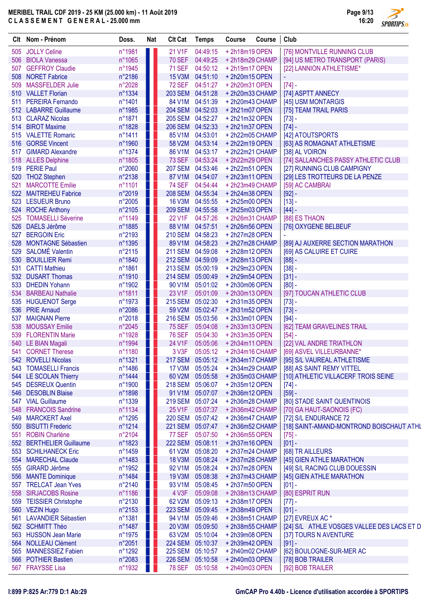つ **SPORTIPS.FR** 

|     | Clt Nom - Prénom          | Doss.  | <b>Nat</b> | <b>Clt Cat</b> | <b>Temps</b>   | Course         | Course | Club                                       |
|-----|---------------------------|--------|------------|----------------|----------------|----------------|--------|--------------------------------------------|
| 505 | <b>JOLLY Celine</b>       | n°1981 |            | 21 V1F         | 04:49:15       | +2h18m19 OPEN  |        | [76] MONTVILLE RUNNING CLUB                |
| 506 | <b>BIOLA Vanessa</b>      | n°1065 |            | <b>70 SEF</b>  | 04:49:25       | +2h18m29 CHAMP |        | [94] US METRO TRANSPORT (PARIS)            |
|     | 507 GEFFROY Claudie       | n°1945 |            | <b>71 SEF</b>  | 04:50:12       | +2h19m17 OPEN  |        | [22] LANNION ATHLETISME*                   |
| 508 | <b>NORET Fabrice</b>      | n°2186 |            | <b>15 V3M</b>  | 04:51:10       | +2h20m15 OPEN  |        |                                            |
| 509 | <b>MASSFELDER Julie</b>   | n°2028 |            | <b>72 SEF</b>  | 04:51:27       | +2h20m31 OPEN  |        | $[74] -$                                   |
|     | 510 VALLET Florian        | n°1334 |            | <b>203 SEM</b> | 04:51:28       | +2h20m33 CHAMP |        | [74] ASPTT ANNECY                          |
| 511 | <b>PEREIRA Fernando</b>   | n°1401 |            | 84 V1M         | 04:51:39       | +2h20m43 CHAMP |        | [45] USM MONTARGIS                         |
|     | 512 LABARRE Guillaume     | n°1985 |            | <b>204 SEM</b> | 04:52:03       | +2h21m07 OPEN  |        | [75] TEAM TRAIL PARIS                      |
| 513 | <b>CLARAZ Nicolas</b>     | n°1871 |            | <b>205 SEM</b> | 04:52:27       | +2h21m32 OPEN  |        | $[73] -$                                   |
| 514 | <b>BIROT Maxime</b>       | n°1828 |            | <b>206 SEM</b> | 04:52:33       | +2h21m37 OPEN  |        | $[74] -$                                   |
| 515 | <b>VALETTE Romaric</b>    | n°1411 |            | 85 V1M         | 04:53:01       | +2h22m05 CHAMP |        | [42] ATOUTSPORTS                           |
|     | 516 GORSE Vincent         | n°1960 |            | 58 V2M         | 04:53:14       | +2h22m19 OPEN  |        | [63] AS ROMAGNAT ATHLETISME                |
| 517 | <b>GIMARD Alexandre</b>   | n°1374 |            | 86 V1M         | 04:53:17       | +2h22m21 CHAMP |        | [38] AL VOIRON                             |
|     | 518 ALLES Delphine        | n°1805 |            | <b>73 SEF</b>  | 04:53:24       | +2h22m29 OPEN  |        | [74] SALLANCHES PASSY ATHLETIC CLUB        |
| 519 | <b>PERIE Paul</b>         | n°2060 |            | <b>207 SEM</b> | 04:53:46       | +2h22m51 OPEN  |        | [27] RUNNING CLUB CAMPIGNY                 |
| 520 | <b>THOZ Stephen</b>       | n°2138 |            | 87 V1M         | 04:54:07       | +2h23m11 OPEN  |        | [29] LES TROTTEURS DE LA PENZE             |
| 521 | <b>MARCOTTE Emilie</b>    | n°1101 |            | <b>74 SEF</b>  | 04:54:44       | +2h23m49 CHAMP |        | [59] AC CAMBRAI                            |
|     | 522 MAITREHEU Fabrice     | n°2019 |            | <b>208 SEM</b> | 04:55:34       | +2h24m38 OPEN  |        | $[92] -$                                   |
| 523 | <b>LESUEUR Bruno</b>      | n°2005 |            | <b>16 V3M</b>  | 04:55:55       | +2h25m00 OPEN  |        | $[13] -$                                   |
|     | 524 ROCHE Anthony         | n°2105 |            | <b>209 SEM</b> | 04:55:58       | +2h25m03 OPEN  |        | $[44] -$                                   |
|     | <b>TOMASELLI Séverine</b> | n°1149 |            | 22 V1F         | 04:57:26       |                |        | [88] ES THAON                              |
| 525 |                           |        |            |                |                | +2h26m31 CHAMP |        |                                            |
| 526 | <b>DAELS Jérôme</b>       | n°1885 |            | 88 V1M         | 04:57:51       | +2h26m56 OPEN  |        | [76] OXYGENE BELBEUF                       |
| 527 | <b>BERGOIN Eric</b>       | n°2193 |            | <b>210 SEM</b> | 04:58:23       | +2h27m28 OPEN  |        |                                            |
| 528 | <b>MONTAGNE Sébastien</b> | n°1395 |            | 89 V1M         | 04:58:23       | +2h27m28 CHAMP |        | [89] AJ AUXERRE SECTION MARATHON           |
| 529 | <b>SALOMÉ Valentin</b>    | n°2115 |            | <b>211 SEM</b> | 04:59:08       | +2h28m12 OPEN  |        | [69] AS CALUIRE ET CUIRE                   |
| 530 | <b>BOUILLIER Remi</b>     | n°1840 |            | <b>212 SEM</b> | 04:59:09       | +2h28m13 OPEN  |        | $[88] -$                                   |
| 531 | <b>CATTI Mathieu</b>      | n°1861 |            | <b>213 SEM</b> | 05:00:19       | +2h29m23 OPEN  |        | $[38] -$                                   |
|     | 532 DUSART Thomas         | n°1910 |            | <b>214 SEM</b> | 05:00:49       | +2h29m54 OPEN  |        | $[31] -$                                   |
| 533 | <b>DHEDIN Yohann</b>      | n°1902 |            | 90 V1M         | 05:01:02       | +2h30m06 OPEN  |        | $[80] -$                                   |
| 534 | <b>BARBEAU Nathalie</b>   | n°1811 |            | 23 V1F         | 05:01:09       | +2h30m13 OPEN  |        | [97] TOUCAN ATHLETIC CLUB                  |
|     | 535 HUGUENOT Serge        | n°1973 |            | <b>215 SEM</b> | 05:02:30       | +2h31m35 OPEN  |        | $[73]$ -                                   |
|     | 536 PRIE Arnaud           | n°2086 |            | 59 V2M         | 05:02:47       | +2h31m52 OPEN  |        | $[73] -$                                   |
| 537 | <b>MAIGNAN Pierre</b>     | n°2018 | . .        | <b>216 SEM</b> | 05:03:56       | +2h33m01 OPEN  |        | $[94] -$                                   |
| 538 | <b>MOUSSAY Emilie</b>     | n°2045 |            | <b>75 SEF</b>  | 05:04:08       | +2h33m13 OPEN  |        | [62] TEAM GRAVELINES TRAIL                 |
| 539 | <b>FLORENTIN Marie</b>    | n°1928 |            | <b>76 SEF</b>  | 05:04:30       | +2h33m35 OPEN  |        | $[54]$ -                                   |
|     | 540 LE BIAN Magali        | n°1994 |            | 24 V1F         | 05:05:06       | +2h34m11 OPEN  |        | [22] VAL ANDRE TRIATHLON                   |
|     | 541 CORNET Therese        | n°1180 |            |                | 3 V3F 05:05:12 | +2h34m16 CHAMP |        | [69] ASVEL VILLEURBANNE*                   |
|     | 542 ROVELLI Nicolas       | n°1321 |            | <b>217 SEM</b> | 05:05:12       | +2h34m17 CHAMP |        | [95] S/L VAUREAL ATHLETISME                |
|     | 543 TOMASELLI Francis     | n°1486 |            | <b>17 V3M</b>  | 05:05:24       | +2h34m29 CHAMP |        | [88] AS SAINT REMY VITTEL                  |
|     | 544 LE SCOLAN Thierry     | n°1444 |            | 60 V2M         | 05:05:58       | +2h35m03 CHAMP |        | [10] ATHLETIC VILLACERF TROIS SEINE        |
|     | 545 DESREUX Quentin       | n°1900 |            | <b>218 SEM</b> | 05:06:07       | +2h35m12 OPEN  |        | $[74] -$                                   |
|     | 546 DESOBLIN Blaise       | n°1898 |            | 91 V1M         | 05:07:07       | +2h36m12 OPEN  |        | $[59] -$                                   |
|     | 547 VIAL Guillaume        | n°1339 |            | <b>219 SEM</b> | 05:07:24       | +2h36m28 CHAMP |        | [80] STADE SAINT QUENTINOIS                |
| 548 | <b>FRANCOIS Sandrine</b>  | n°1134 |            | 25 V1F         | 05:07:37       | +2h36m42 CHAMP |        | [70] GA HAUT-SAONOIS (FC)                  |
|     | 549 MARCKERT Axel         | n°1295 |            | <b>220 SEM</b> | 05:07:42       | +2h36m47 CHAMP |        | [72] S/L ENDURANCE 72                      |
| 550 | <b>BISUTTI Frederic</b>   | n°1214 |            | <b>221 SEM</b> | 05:07:47       | +2h36m52 CHAMP |        | [18] SAINT-AMAND-MONTROND BOISCHAUT ATHL   |
| 551 | <b>ROBIN Charlène</b>     | n°2104 |            | <b>77 SEF</b>  | 05:07:50       | +2h36m55 OPEN  |        | $[75]$ -                                   |
|     | 552 BERTHELIER Guillaume  | n°1823 |            | <b>222 SEM</b> | 05:08:11       | +2h37m16 OPEN  |        | $[01] -$                                   |
|     | 553 SCHILHANECK Eric      | n°1459 |            | 61 V2M         | 05:08:20       | +2h37m24 CHAMP |        | [68] TR AILLEURS                           |
|     | 554 MARECHAL Claude       | n°1483 |            | <b>18 V3M</b>  | 05:08:24       | +2h37m28 CHAMP |        | [45] GIEN ATHLE MARATHON                   |
| 555 | <b>GIRARD Jérôme</b>      | n°1952 |            | 92 V1M         | 05:08:24       | +2h37m28 OPEN  |        | [49] S/L RACING CLUB DOUESSIN              |
|     | 556 MANTE Dominique       | n°1484 |            | 19 V3M         | 05:08:38       | +2h37m43 CHAMP |        | [45] GIEN ATHLE MARATHON                   |
|     | 557 TRELCAT Jean Yves     | n°2140 |            | 93 V1M         | 05:08:45       | +2h37m50 OPEN  |        | $[01] -$                                   |
|     | 558 SIRJACOBS Rosine      | n°1186 |            | 4 V3F          | 05:09:08       | +2h38m13 CHAMP |        | [80] ESPRIT RUN                            |
|     | 559 TEISSIER Christophe   | n°2130 |            | 62 V2M         | 05:09:13       | +2h38m17 OPEN  |        | $[77] -$                                   |
|     | 560 VEZIN Hugo            | n°2153 |            | <b>223 SEM</b> | 05:09:45       | +2h38m49 OPEN  |        | $[01] -$                                   |
|     | 561 LAVANDIER Sébastien   | n°1381 |            | 94 V1M         | 05:09:46       | +2h38m51 CHAMP |        | [27] EVREUX AC*                            |
|     | 562 SCHMITT Théo          | n°1487 |            | 20 V3M         | 05:09:50       | +2h38m55 CHAMP |        | [24] S/L ATHLE VOSGES VALLEE DES LACS ET D |
|     | 563 HUSSON Jean Marie     | n°1975 |            | 63 V2M         | 05:10:04       | +2h39m08 OPEN  |        | [37] TOURS N AVENTURE                      |
|     | 564 NOLLEAU Clément       | n°2051 |            | <b>224 SEM</b> | 05:10:37       | +2h39m42 OPEN  |        | $[91] -$                                   |
|     | 565 MANNESSIEZ Fabien     | n°1292 |            | <b>225 SEM</b> | 05:10:57       | +2h40m02 CHAMP |        | [62] BOULOGNE-SUR-MER AC                   |
|     | 566 POTHIER Bastien       | n°2083 |            | <b>226 SEM</b> | 05:10:58       | +2h40m03 OPEN  |        | [78] BOB TRAILER                           |
|     | 567 FRAYSSE Lisa          | n°1932 |            | <b>78 SEF</b>  | 05:10:58       | +2h40m03 OPEN  |        | [92] BOB TRAILER                           |
|     |                           |        |            |                |                |                |        |                                            |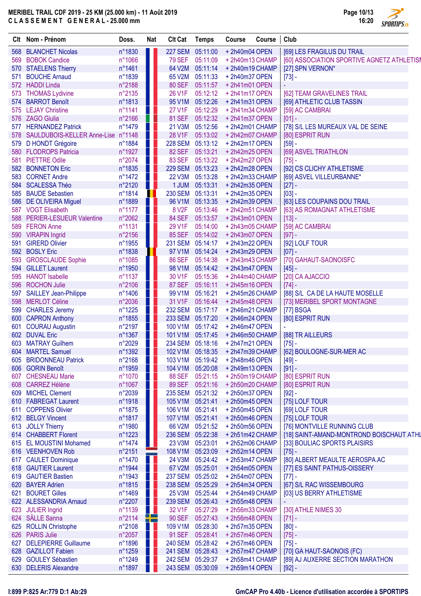

|     | Clt Nom - Prénom                   | Doss.  | <b>Nat</b> | <b>Clt Cat</b>     | <b>Temps</b>   | Course                           | Course | Club                                       |
|-----|------------------------------------|--------|------------|--------------------|----------------|----------------------------------|--------|--------------------------------------------|
| 568 | <b>BLANCHET Nicolas</b>            | n°1830 |            | 227 SEM 05:11:00   |                | +2h40m04 OPEN                    |        | [69] LES FRAGILUS DU TRAIL                 |
| 569 | <b>BOBOK Candice</b>               | n°1066 |            | <b>79 SEF</b>      | 05:11:09       | +2h40m13 CHAMP                   |        | [60] ASSOCIATION SPORTIVE AGNETZ ATHLETIS! |
| 570 | <b>STAELENS Thierry</b>            | n°1461 |            | 64 V2M             | 05:11:14       | +2h40m19 CHAMP                   |        | [27] SPN VERNON*                           |
| 571 | <b>BOUCHE Arnaud</b>               | n°1839 |            | 65 V2M             | 05:11:33       | +2h40m37 OPEN                    |        | $[73] -$                                   |
|     | 572 HADDI Linda                    | n°2188 |            | <b>80 SEF</b>      | 05:11:57       | +2h41m01 OPEN                    |        |                                            |
| 573 | <b>THOMAS Lydivine</b>             | n°2135 |            | 26 V1F             | 05:12:12       | +2h41m17 OPEN                    |        | [62] TEAM GRAVELINES TRAIL                 |
| 574 | <b>BARROT Benoît</b>               | n°1813 |            | 95 V1M             | 05:12:26       | +2h41m31 OPEN                    |        | [69] ATHLETIC CLUB TASSIN                  |
| 575 | <b>LEJAY Christine</b>             | n°1141 |            | <b>27 V1F</b>      | 05:12:29       | +2h41m34 CHAMP                   |        | [59] AC CAMBRAI                            |
|     | 576 ZAGO Giulia                    | n°2166 |            | 81 SEF             | 05:12:32       | +2h41m37 OPEN                    |        | $[01] -$                                   |
| 577 | <b>HERNANDEZ Patrick</b>           | n°1479 |            | 21 V3M             | 05:12:56       | +2h42m01 CHAMP                   |        | [78] S/L LES MUREAUX VAL DE SEINE          |
| 578 | SAULDUBOIS-KELLER Anne-Lise n°1148 |        | <b>TI</b>  | 28 V1F             | 05:13:02       | +2h42m07 CHAMP                   |        | [80] ESPRIT RUN                            |
| 579 | D HONDT Grégoire                   | n°1884 | U L        | <b>228 SEM</b>     | 05:13:12       | +2h42m17 OPEN                    |        | $[59] -$                                   |
| 580 | <b>FLODROPS Patricia</b>           | n°1927 |            | 82 SEF             | 05:13:21       | +2h42m25 OPEN                    |        | [69] ASVEL TRIATHLON                       |
| 581 | <b>PIETTRE Odile</b>               | n°2074 |            | 83 SEF             | 05:13:22       | +2h42m27 OPEN                    |        | $[75] -$                                   |
| 582 | <b>BONNETON Eric</b>               | n°1835 |            | <b>229 SEM</b>     | 05:13:23       | +2h42m28 OPEN                    |        | [92] CS CLICHY ATHLETISME                  |
| 583 | <b>CORNET Andre</b>                | n°1472 |            | 22 V3M             | 05:13:28       | +2h42m33 CHAMP                   |        | [69] ASVEL VILLEURBANNE*                   |
|     | 584 SCALESSA Théo                  | n°2120 | H.         |                    | 1 JUM 05:13:31 | +2h42m35 OPEN                    |        | $[27] -$                                   |
| 585 | <b>BAUDE Sebastien</b>             | n°1814 |            | 230 SEM 05:13:31   |                | +2h42m35 OPEN                    |        | $[03] -$                                   |
| 586 | <b>DE OLIVEIRA Miguel</b>          | n°1889 | W          | 96 V1M             | 05:13:35       | +2h42m39 OPEN                    |        | [63] LES COUPAINS DOU TRAIL                |
|     | 587 VOGT Elisabeth                 | n°1177 |            | 8 V <sub>2</sub> F | 05:13:46       | +2h42m51 CHAMP                   |        | [63] AS ROMAGNAT ATHLETISME                |
| 588 | <b>PERIER-LESUEUR Valentine</b>    | n°2062 |            | <b>84 SEF</b>      | 05:13:57       | +2h43m01 OPEN                    |        | $[13] -$                                   |
| 589 | <b>FERON Anne</b>                  | n°1131 |            | 29 V1F             | 05:14:00       | +2h43m05 CHAMP                   |        | [59] AC CAMBRAI                            |
|     | 590 VIRAPIN Ingrid                 | n°2156 |            | <b>85 SEF</b>      | 05:14:02       | +2h43m07 OPEN                    |        | $[97] -$                                   |
| 591 | <b>GIRERD Olivier</b>              | n°1955 |            | 231 SEM 05:14:17   |                | +2h43m22 OPEN                    |        | [92] LOLF TOUR                             |
| 592 | <b>BOSLY Eric</b>                  | n°1838 |            | 97 V1M             | 05:14:24       | +2h43m29 OPEN                    |        | $[07] -$                                   |
| 593 | <b>GROSCLAUDE Sophie</b>           | n°1085 |            | <b>86 SEF</b>      | 05:14:38       | +2h43m43 CHAMP                   |        | [70] GAHAUT-SAONOISFC                      |
| 594 | <b>GILLET Laurent</b>              | n°1950 |            | 98 V1M             | 05:14:42       | +2h43m47 OPEN                    |        | $[45] -$                                   |
| 595 | <b>HANOT</b> Isabelle              | n°1137 |            | 30 V1F             | 05:15:36       | +2h44m40 CHAMP                   |        | [20] CA AJACCIO                            |
| 596 | <b>ROCHON Julie</b>                | n°2106 |            | <b>87 SEF</b>      | 05:16:11       | +2h45m16 OPEN                    |        | $[74] -$                                   |
| 597 | <b>SAILLEY Jean-Philippe</b>       | n°1406 |            | 99 V1M             | 05:16:21       | +2h45m26 CHAMP                   |        | [88] S/L CA DE LA HAUTE MOSELLE            |
|     | 598 MERLOT Céline                  | n°2036 |            | 31 V1F             | 05:16:44       | +2h45m48 OPEN                    |        | [73] MERIBEL SPORT MONTAGNE                |
|     | 599 CHARLES Jeremy                 | n°1225 | H          | 232 SEM 05:17:17   |                | +2h46m21 CHAMP                   |        | [77] BSGA                                  |
|     | 600 CAPRON Anthony                 | n°1855 |            | 233 SEM 05:17:20   |                | +2h46m24 OPEN                    |        | [80] ESPRIT RUN                            |
| 601 | <b>COURAU Augustin</b>             | n°2197 |            | 100 V1M            | 05:17:42       | +2h46m47 OPEN                    |        |                                            |
|     | 602 DUVAL Eric                     | n°1367 |            | 101 V1M            | 05:17:45       | +2h46m50 CHAMP                   |        | [88] TR AILLEURS                           |
|     | 603 MATRAY Guilhem                 | n°2029 |            | 234 SEM 05:18:16   |                | +2h47m21 OPEN                    |        | $[75] -$                                   |
|     | 604 MARTEL Samuel                  | n°1392 |            |                    |                | 102 V1M 05:18:35 + 2h47m39 CHAMP |        | [62] BOULOGNE-SUR-MER AC                   |
| 605 | <b>BRIDONNEAU Patrick</b>          | n°2168 |            | 103 V1M 05:19:42   |                | +2h48m46 OPEN                    |        | $[49] -$                                   |
| 606 | <b>GORIN Benoît</b>                | n°1959 |            | 104 V1M            | 05:20:08       | +2h49m13 OPEN                    |        | $[91] -$                                   |
| 607 | <b>CHESNEAU Marie</b>              | n°1070 |            | <b>88 SEF</b>      | 05:21:15       | +2h50m19 CHAMP                   |        | [80] ESPRIT RUN                            |
| 608 | <b>CARREZ Hélène</b>               | n°1067 |            | <b>89 SEF</b>      | 05:21:16       | +2h50m20 CHAMP                   |        | [80] ESPRIT RUN                            |
| 609 | <b>MICHEL Clement</b>              | n°2039 |            | <b>235 SEM</b>     | 05:21:32       | +2h50m37 OPEN                    |        | $[92] -$                                   |
|     | 610 FABREGAT Laurent               | n°1918 |            | 105 V1M            | 05:21:41       | +2h50m45 OPEN                    |        | [75] LOLF TOUR                             |
| 611 | <b>COPPENS Olivier</b>             | n°1875 |            | 106 V1M            | 05:21:41       | +2h50m45 OPEN                    |        | [69] LOLF TOUR                             |
|     | 612 BELGY Vincent                  | n°1817 |            | 107 V1M            | 05:21:41       | +2h50m46 OPEN                    |        | [75] LOLF TOUR                             |
| 613 | <b>JOLLY Thierry</b>               | n°1980 |            | 66 V2M             | 05:21:52       | +2h50m56 OPEN                    |        | [76] MONTVILLE RUNNING CLUB                |
|     | 614 CHABBERT Florent               | n°1223 |            | 236 SEM 05:22:38   |                | +2h51m42 CHAMP                   |        | [18] SAINT-AMAND-MONTROND BOISCHAUT ATHL   |
| 615 | <b>EL MOUSTINI Mohamed</b>         | n°1474 | ш          | 23 V3M             | 05:23:01       | +2h52m06 CHAMP                   |        | [33] BOULIAC SPORTS PLAISIRS               |
| 616 | <b>VEENHOVEN Rob</b>               | n°2151 |            | 108 V1M            | 05:23:09       | +2h52m14 OPEN                    |        | $[75] -$                                   |
| 617 | <b>CAULET Dominique</b>            | n°1470 |            | 24 V3M             | 05:24:42       | +2h53m47 CHAMP                   |        | [80] ALBERT MEAULTE AEROSPA.AC             |
| 618 | <b>GAUTIER Laurent</b>             | n°1944 |            | 67 V2M             | 05:25:01       | +2h54m05 OPEN                    |        | [77] ES SAINT PATHUS-OISSERY               |
| 619 | <b>GAUTIER Bastien</b>             | n°1943 |            | 237 SEM 05:25:02   |                | +2h54m07 OPEN                    |        | $[77] -$                                   |
| 620 | <b>BAYER Adrien</b>                | n°1815 |            | 238 SEM 05:25:29   |                | +2h54m34 OPEN                    |        | [67] S/L RAC WISSEMBOURG                   |
| 621 | <b>BOURET Gilles</b>               | n°1469 |            | 25 V3M             | 05:25:44       | +2h54m49 CHAMP                   |        | [03] US BERRY ATHLETISME                   |
|     | 622 ALESSANDRIA Arnaud             | n°2207 |            | 239 SEM 05:26:43   |                | +2h55m48 OPEN                    |        |                                            |
| 623 | <b>JULIER Ingrid</b>               | n°1139 |            | 32 V1F             | 05:27:29       | +2h56m33 CHAMP                   |        | [30] ATHLE NIMES 30                        |
|     | 624 SÄLLE Sanna                    | n°2114 | ╬          | 90 SEF             | 05:27:43       | +2h56m48 OPEN                    |        | $[71] -$                                   |
|     | 625 ROLLIN Christophe              | n°2108 |            | 109 V1M            | 05:28:30       | +2h57m35 OPEN                    |        | $[80] -$                                   |
|     | 626 PARIS Julie                    | n°2057 |            | 91 SEF             | 05:28:41       | +2h57m46 OPEN                    |        | $[75] -$                                   |
| 627 | <b>DELEPIERRE Guillaume</b>        | n°1896 | H          | 240 SEM 05:28:42   |                | +2h57m46 OPEN                    |        | $[75] -$                                   |
|     | 628 GAZILLOT Fabien                | n°1259 |            | 241 SEM 05:28:43   |                | +2h57m47 CHAMP                   |        | [70] GA HAUT-SAONOIS (FC)                  |
| 629 | <b>GOULEY Sébastien</b>            | n°1249 |            | 242 SEM 05:29:37   |                | +2h58m41 CHAMP                   |        | [89] AJ AUXERRE SECTION MARATHON           |
|     | 630 DELERIS Alexandre              | n°1897 |            | 243 SEM 05:30:09   |                | +2h59m14 OPEN                    |        | $[92] -$                                   |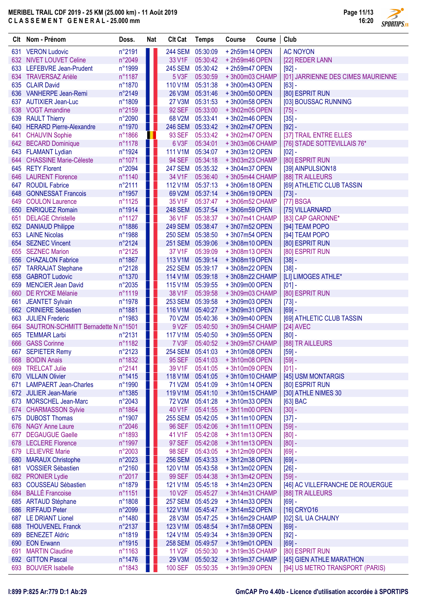**SPORTIPS.FR** 

|     | Clt Nom - Prénom                                | Doss.            | <b>Nat</b> | <b>Clt Cat</b>            | <b>Temps</b>         | Course                          | Course | Club                                         |
|-----|-------------------------------------------------|------------------|------------|---------------------------|----------------------|---------------------------------|--------|----------------------------------------------|
|     | 631 VERON Ludovic                               | n°2191           |            | <b>244 SEM</b>            | 05:30:09             | +2h59m14 OPEN                   |        | <b>AC NOYON</b>                              |
|     | 632 NIVET LOUVET Celine                         | n°2049           |            | 33 V1F                    | 05:30:42             | +2h59m46 OPEN                   |        | [22] REDER LANN                              |
|     | 633 LEFEBVRE Jean-Prudent                       | n°1999           |            | <b>245 SEM</b>            | 05:30:42             | +2h59m47 OPEN                   |        | $[92] -$                                     |
|     | 634 TRAVERSAZ Arièle                            | n°1187           |            | 5 V3F                     | 05:30:59             | +3h00m03 CHAMP                  |        | [01] JARRIENNE DES CIMES MAURIENNE           |
|     | 635 CLAIR David                                 | n°1870           |            | 110 V1M                   | 05:31:38             | +3h00m43 OPEN                   |        | $[63] -$                                     |
| 636 | <b>VANHERPE Jean-Remi</b>                       | n°2149           |            | 26 V3M                    | 05:31:46             | +3h00m50 OPEN                   |        | [80] ESPRIT RUN                              |
|     | 637 AUTIXIER Jean-Luc                           | n°1809           |            | 27 V3M                    | 05:31:53             | +3h00m58 OPEN                   |        | [03] BOUSSAC RUNNING                         |
|     | 638 VOGT Amandine                               | n°2159           |            | <b>92 SEF</b>             | 05:33:00             | +3h02m05 OPEN                   |        | $[75] -$                                     |
|     | 639 RAULT Thierry                               | n°2090           |            | 68 V2M                    | 05:33:41             | +3h02m46 OPEN                   |        | $[35] -$                                     |
|     | 640 HERARD Pierre-Alexandre                     | n°1970           | U          | <b>246 SEM</b>            | 05:33:42             | +3h02m47 OPEN                   |        | $[92] -$                                     |
|     | 641 CHAUVIN Sophie                              | n°1866           | ш          | 93 SEF                    | 05:33:42             | +3h02m47 OPEN                   |        | [37] TRAIL ENTRE ELLES                       |
|     | 642 BECARD Dominique                            | n°1178           |            | 6 V3F                     | 05:34:01             | +3h03m06 CHAMP                  |        | [76] STADE SOTTEVILLAIS 76*                  |
|     | 643 FLAMANT Lydian                              | n°1924           | ш          | 111 V1M                   | 05:34:07             | +3h03m12 OPEN                   |        | $[02] -$                                     |
|     | 644 CHASSINE Marie-Céleste                      | n°1071           | ╻╻         | <b>94 SEF</b>             | 05:34:18             | +3h03m23 CHAMP                  |        | [80] ESPRIT RUN                              |
|     | 645 RETY Florent                                | n°2094           |            | 247 SEM 05:35:32          |                      | +3h04m37 OPEN                   |        | [39] AINPULSION18                            |
|     | 646 LAURENT Florence                            | n°1140           |            | 34 V1F                    | 05:36:40             | +3h05m44 CHAMP                  |        | [88] TR AILLEURS                             |
|     | 647 ROUDIL Fabrice                              | n°2111           |            | 112 V1M                   | 05:37:13             | +3h06m18 OPEN                   |        | [69] ATHLETIC CLUB TASSIN                    |
| 648 | <b>GONNESSAT Francois</b>                       | n°1957           |            | 69 V2M                    | 05:37:14             | +3h06m19 OPEN                   |        | $[73] -$                                     |
| 649 | <b>COULON Laurence</b>                          | n°1125           |            | 35 V1F                    | 05:37:47             | +3h06m52 CHAMP<br>+3h06m59 OPEN |        | [77] BSGA                                    |
| 651 | 650 ENRIQUEZ Romain<br><b>DELAGE Christelle</b> | n°1914           |            | <b>248 SEM</b><br>36 V1F  | 05:37:54             | +3h07m41 CHAMP                  |        | [75] VILLARNARD                              |
|     |                                                 | n°1127           |            | <b>249 SEM</b>            | 05:38:37<br>05:38:47 | +3h07m52 OPEN                   |        | [83] CAP GARONNE*<br>[94] TEAM POPO          |
|     | 652 DANIAUD Philippe<br>653 LAINE Nicolas       | n°1886<br>n°1988 | ▌▌         | <b>250 SEM</b>            | 05:38:50             | +3h07m54 OPEN                   |        | [94] TEAM POPO                               |
|     | 654 SEZNEC Vincent                              | n°2124           |            | <b>251 SEM</b>            | 05:39:06             | +3h08m10OPEN                    |        | [80] ESPRIT RUN                              |
| 655 | <b>SEZNEC Marion</b>                            | n°2125           |            | 37 V1F                    | 05:39:09             | +3h08m13 OPEN                   |        | [80] ESPRIT RUN                              |
| 656 | <b>CHAZALON Fabrice</b>                         | n°1867           |            | 113 V1M                   | 05:39:14             | +3h08m19 OPEN                   |        | $[38] -$                                     |
|     | 657 TARRAJAT Stephane                           | n°2128           |            | <b>252 SEM</b>            | 05:39:17             | +3h08m22 OPEN                   |        | $[38] -$                                     |
|     | 658 GABROT Ludovic                              | n°1370           |            | 114 V1M                   | 05:39:18             | +3h08m22 CHAMP                  |        | [LI] LIMOGES ATHLE*                          |
| 659 | <b>MENCIER Jean David</b>                       | n°2035           |            | 115 V1M                   | 05:39:55             | +3h09m00 OPEN                   |        | $[01]$ -                                     |
|     | 660 DE RYCKE Mélanie                            | n°1119           |            | 38 V1F                    | 05:39:58             | +3h09m03 CHAMP                  |        | [80] ESPRIT RUN                              |
| 661 | JEANTET Sylvain                                 | n°1978           |            | <b>253 SEM</b>            | 05:39:58             | +3h09m03 OPEN                   |        | $[73] -$                                     |
|     | 662 CRINIERE Sébastien                          | n°1881           |            | 116 V1M                   | 05:40:27             | +3h09m31 OPEN                   |        | $[69] -$                                     |
| 663 | <b>JULIEN Frederic</b>                          | n°1983           |            | <b>70 V2M</b>             | 05:40:36             | +3h09m40 OPEN                   |        | [69] ATHLETIC CLUB TASSIN                    |
|     | 664 SAUTRON-SCHMITT Bernadette N n°1501         |                  |            | 9 V2F                     | 05:40:50             | +3h09m54 CHAMP                  |        | [24] AVEC                                    |
| 665 | <b>TEMMAR Larbi</b>                             | n°2131           |            | <b>117 V1M</b>            | 05:40:50             | +3h09m55 OPEN                   |        | $[80] -$                                     |
| 666 | <b>GASS Corinne</b>                             | n°1182           |            | 7 V3F                     | 05:40:52             | +3h09m57 CHAMP                  |        | [88] TR AILLEURS                             |
|     | 667 SEPIETER Remy                               | n°2123           | a katika   | 254 SEM 05:41:03          |                      | +3h10m08 OPEN                   |        | $[59] -$                                     |
|     | 668 BOIDIN Anais                                | n°1832           |            | 95 SEF                    | 05:41:03             | +3h10m08 OPEN                   |        | $[59] -$                                     |
|     | 669 TRELCAT Julie                               | n°2141           |            | 39 V1F                    | 05:41:05             | +3h10m09 OPEN                   |        | $[01] -$                                     |
|     | 670 VILLAIN Olivier                             | n°1415           |            | 118 V1M                   | 05:41:05             | +3h10m10 CHAMP                  |        | [45] USM MONTARGIS                           |
|     | 671 LAMPAERT Jean-Charles                       | n°1990           |            | 71 V2M                    | 05:41:09             | +3h10m14 OPEN                   |        | [80] ESPRIT RUN                              |
|     | 672 JULIER Jean-Marie                           | n°1385           |            | 119 V1M                   | 05:41:10             | +3h10m15 CHAMP                  |        | [30] ATHLE NIMES 30                          |
|     | 673 MORSCHEL Jean-Marc                          | n°2043           |            | <b>72 V2M</b>             | 05:41:28             | +3h10m33 OPEN                   |        | [63] BAC                                     |
|     | 674 CHARMASSON Sylvie                           | n°1864           |            | 40 V1F                    | 05:41:55             | +3h11m00 OPEN                   |        | $[30] -$                                     |
|     | 675 DUBOST Thomas                               | n°1907           |            | <b>255 SEM</b>            | 05:42:05             | +3h11m10OPEN                    |        | $[37] -$                                     |
|     | 676 NAGY Anne Laure                             | n°2046           |            | <b>96 SEF</b>             | 05:42:06             | +3h11m11 OPEN                   |        | $[59] -$                                     |
|     | 677 DEGAUGUE Gaelle                             | n°1893           |            | 41 V1F                    | 05:42:08             | +3h11m13 OPEN                   |        | $[80] -$                                     |
|     | 678 LECLERE Florence                            | n°1997           |            | 97 SEF                    | 05:42:08             | +3h11m13 OPEN                   |        | $[80] -$                                     |
|     | 679 LELIEVRE Marie                              | n°2003           |            | <b>98 SEF</b>             | 05:43:05             | +3h12m09 OPEN                   |        | $[69] -$                                     |
|     | 680 MARAUX Christophe<br>681 VOSSIER Sébastien  | n°2023           |            | <b>256 SEM</b><br>120 V1M | 05:43:33<br>05:43:58 | +3h12m38 OPEN                   |        | $[69] -$                                     |
|     | 682 PRONIER Lydie                               | n°2160           |            | <b>99 SEF</b>             | 05:44:38             | +3h13m02 OPEN<br>+3h13m42 OPEN  |        | $[26] -$                                     |
|     | 683 COUSSEAU Sébastien                          | n°2017<br>n°1879 |            | 121 V1M                   | 05:45:18             | +3h14m23 OPEN                   |        | $[59] -$<br>[46] AC VILLEFRANCHE DE ROUERGUE |
|     | 684 BALLÉ Francoise                             | n°1151           |            | 10 V2F                    | 05:45:27             | +3h14m31 CHAMP                  |        | [88] TR AILLEURS                             |
|     | 685 ARTAUD Stéphane                             | n°1808           |            | <b>257 SEM</b>            | 05:45:29             | +3h14m33 OPEN                   |        | $[69] -$                                     |
|     | 686 RIFFAUD Peter                               | n°2099           |            | 122 V1M                   | 05:45:47             | +3h14m52 OPEN                   |        | [16] CRYO16                                  |
|     | 687 LE DRIANT Lionel                            | n°1480           |            | 28 V3M                    | 05:47:25             | +3h16m29 CHAMP                  |        | [02] S/L UA CHAUNY                           |
|     | 688 THOUVENEL Franck                            | n°2137           |            | 123 V1M                   | 05:48:54             | +3h17m58 OPEN                   |        | $[69] -$                                     |
|     | 689 BENEZET Aldric                              | n°1819           |            | 124 V1M                   | 05:49:34             | +3h18m39 OPEN                   |        | $[92] -$                                     |
|     | 690 EON Erwann                                  | n°1915           |            | <b>258 SEM</b>            | 05:49:57             | +3h19m01 OPEN                   |        | $[69] -$                                     |
|     | 691 MARTIN Claudine                             | n°1163           |            | <b>11 V2F</b>             | 05:50:30             | +3h19m35 CHAMP                  |        | [80] ESPRIT RUN                              |
|     | 692 GITTON Pascal                               | n°1476           |            | 29 V3M                    | 05:50:32             | +3h19m37 CHAMP                  |        | [45] GIEN ATHLE MARATHON                     |
|     | 693 BOUVIER Isabelle                            | n°1843           |            | <b>100 SEF</b>            | 05:50:35             | +3h19m39 OPEN                   |        | [94] US METRO TRANSPORT (PARIS)              |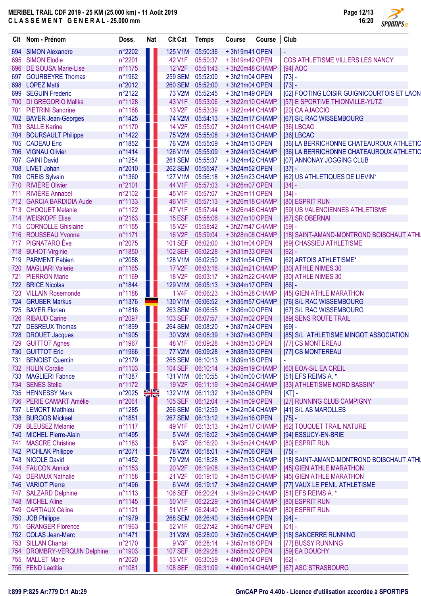

|     | Clt Nom - Prénom             | Doss.  | <b>Nat</b> | <b>Clt Cat</b>      | <b>Temps</b>     | <b>Course</b>  | Course | Club                                       |
|-----|------------------------------|--------|------------|---------------------|------------------|----------------|--------|--------------------------------------------|
| 694 | <b>SIMON Alexandre</b>       | n°2202 |            | 125 V1M             | 05:50:36         | +3h19m41 OPEN  |        |                                            |
| 695 | <b>SIMON Elodie</b>          | n°2201 |            | 42 V1F              | 05:50:37         | +3h19m42 OPEN  |        | COS ATHLETISME VILLERS LES NANCY           |
| 696 | <b>DE SOUSA Marie-Lise</b>   | n°1175 |            | <b>12 V2F</b>       | 05:51:43         | +3h20m48 CHAMP |        | [94] AOC                                   |
| 697 | <b>GOURBEYRE Thomas</b>      | n°1962 |            | <b>259 SEM</b>      | 05:52:00         | +3h21m04 OPEN  |        | $[73] -$                                   |
| 698 | <b>LOPEZ Matti</b>           | n°2012 |            | <b>260 SEM</b>      | 05:52:00         | +3h21m04 OPEN  |        | $[73] -$                                   |
| 699 | <b>SEGUIN Frederic</b>       | n°2122 |            | 73 V2M              | 05:52:45         | +3h21m49 OPEN  |        | [02] FOOTING LOISIR GUIGNICOURTOIS ET LAON |
| 700 | <b>DI GREGORIO Malika</b>    | n°1128 |            | 43 V1F              | 05:53:06         | +3h22m10 CHAMP |        | [57] E SPORTIVE THIONVILLE-YUTZ            |
| 701 | <b>PIETRINI Sandrine</b>     | n°1168 | Ш          | 13 V <sub>2</sub> F | 05:53:39         | +3h22m44 CHAMP |        | [20] CA AJACCIO                            |
| 702 | <b>BAYER Jean-Georges</b>    | n°1425 |            | 74 V2M              | 05:54:13         | +3h23m17 CHAMP |        | [67] S/L RAC WISSEMBOURG                   |
|     | 703 SALLE Karine             | n°1170 |            | <b>14 V2F</b>       | 05:55:07         | +3h24m11 CHAMP |        | [36] LBCAC                                 |
| 704 | <b>BOURSAULT Philippe</b>    | n°1422 |            | <b>75 V2M</b>       | 05:55:08         | +3h24m13 CHAMP |        | [36] LBCAC                                 |
| 705 | <b>CADEAU Eric</b>           | n°1852 |            | <b>76 V2M</b>       | 05:55:09         | +3h24m13 OPEN  |        | [36] LA BERRICHONNE CHATEAUROUX ATHLETIC   |
| 706 | <b>VIGNAU Olivier</b>        | n°1414 |            | 126 V1M             | 05:55:09         | +3h24m13 CHAMP |        | [36] LA BERRICHONNE CHATEAUROUX ATHLETIC   |
| 707 | <b>GAINI David</b>           | n°1254 |            | <b>261 SEM</b>      | 05:55:37         | +3h24m42 CHAMP |        | [07] ANNONAY JOGGING CLUB                  |
| 708 | <b>LIVET Johan</b>           | n°2010 |            | <b>262 SEM</b>      | 05:55:47         | +3h24m52 OPEN  |        | $[37] -$                                   |
| 709 | <b>CREIS Sylvain</b>         | n°1360 |            | 127 V1M             | 05:56:18         | +3h25m23 CHAMP |        | [62] US ATHLETIQUES DE LIEVIN*             |
| 710 | <b>RIVIÈRE Olivier</b>       | n°2101 |            | 44 V1F              | 05:57:03         | +3h26m07 OPEN  |        | $[34] -$                                   |
| 711 | <b>RIVIÈRE Annabel</b>       | n°2102 |            | 45 V1F              | 05:57:07         | +3h26m11 OPEN  |        | $[34] -$                                   |
| 712 | <b>GARCIA BARDIDIA Aude</b>  | n°1133 |            | 46 V1F              | 05:57:13         | +3h26m18 CHAMP |        | [80] ESPRIT RUN                            |
| 713 | <b>CHOQUET Melanie</b>       | n°1122 |            | 47 V1F              | 05:57:44         | +3h26m48 CHAMP |        | [59] US VALENCIENNES ATHLETISME            |
| 714 | <b>WEISKOPF Elise</b>        | n°2163 | H          | 15 ESF              | 05:58:06         | +3h27m10 OPEN  |        | [67] SR OBERNAI                            |
| 715 | <b>CORNOLLE Ghislaine</b>    | n°1155 | n L        | <b>15 V2F</b>       | 05:58:42         | +3h27m47 CHAMP |        | $[59] -$                                   |
| 716 | <b>ROUSSEAU Yvonne</b>       | n°1171 | H.         | <b>16 V2F</b>       | 05:59:04         | +3h28m08 CHAMP |        | [18] SAINT-AMAND-MONTROND BOISCHAUT ATHL   |
| 717 | <b>PIGNATARO</b> Eve         | n°2075 | Ш          | <b>101 SEF</b>      | 06:02:00         | +3h31m04 OPEN  |        | [69] CHASSIEU ATHLETISME                   |
|     | 718 BUHOT Virginie           | n°1850 | w          | <b>102 SEF</b>      | 06:02:28         | +3h31m33 OPEN  |        | $[92] -$                                   |
|     | 719 PARMENT Fabien           | n°2058 |            | 128 V1M             | 06:02:50         | +3h31m54 OPEN  |        | [62] ARTOIS ATHLETISME*                    |
| 720 | <b>MAGLIARI Valerie</b>      | n°1165 |            | <b>17 V2F</b>       | 06:03:16         | +3h32m21 CHAMP |        | [30] ATHLE NIMES 30                        |
| 721 | <b>PIERRON Marie</b>         | n°1169 |            | <b>18 V2F</b>       | 06:03:17         | +3h32m22 CHAMP |        | [30] ATHLE NIMES 30                        |
|     | 722 BRICE Nicolas            | n°1844 | A 1        | 129 V1M             | 06:05:13         | +3h34m17 OPEN  |        | $[86] -$                                   |
| 723 | <b>VILLAIN Rosemonde</b>     | n°1188 | Ш          | 1 V4F               | 06:06:23         | +3h35m28 CHAMP |        | [45] GIEN ATHLE MARATHON                   |
| 724 | <b>GRUBER Markus</b>         | n°1376 |            | 130 V1M             | 06:06:52         | +3h35m57 CHAMP |        | [76] S/L RAC WISSEMBOURG                   |
| 725 | <b>BAYER Florian</b>         | n°1816 | Ш          | 263 SEM             | 06:06:55         | +3h36m00 OPEN  |        | [67] S/L RAC WISSEMBOURG                   |
| 726 | <b>RIBAUD Carine</b>         | n°2097 |            | <b>103 SEF</b>      | 06:07:57         | +3h37m02 OPEN  |        | [89] SENS ROUTE TRAIL                      |
| 727 | <b>DESREUX Thomas</b>        | n°1899 |            | <b>264 SEM</b>      | 06:08:20         | +3h37m24 OPEN  |        | $[69] -$                                   |
| 728 | <b>DROUET Jacques</b>        | n°1905 |            | 30 V3M              | 06:08:39         | +3h37m43 OPEN  |        | [85] S/L ATHLETISME MINGOT ASSOCIATION     |
|     | 729 GUITTOT Agnes            | n°1967 |            | 48 V1F              | 06:09:28         | +3h38m33 OPEN  |        | [77] CS MONTEREAU                          |
| 730 | <b>GUITTOT Eric</b>          | n°1966 |            |                     | 77 V2M 06:09:28  | +3h38m33 OPEN  |        | [77] CS MONTEREAU                          |
|     | 731 BENOIST Quentin          | n°2179 |            |                     | 265 SEM 06:10:13 | +3h39m18 OPEN  |        |                                            |
|     | 732 HULIN Coralie            | n°1103 |            | <b>104 SEF</b>      | 06:10:14         | +3h39m19 CHAMP |        | [60] EOA-S/L EA CREIL                      |
|     | 733 MAGLIERI Fabrice         | n°1387 |            | 131 V1M             | 06:10:55         | +3h40m00 CHAMP |        | [51] EFS REIMS A. *                        |
|     | 734 SENES Stella             | n°1172 | H          | <b>19 V2F</b>       | 06:11:19         | +3h40m24 CHAMP |        | [33] ATHLETISME NORD BASSIN*               |
|     | 735 HENNESSY Mark            | n°2025 | XR         | 132 V1M             | 06:11:32         | +3h40m36 OPEN  |        | $[KT]$ -                                   |
|     | 736 PERIE CAMART Amélie      | n°2061 | Ш          | <b>105 SEF</b>      | 06:12:04         | +3h41m09 OPEN  |        | [27] RUNNING CLUB CAMPIGNY                 |
|     | 737 LEMORT Matthieu          | n°1285 |            |                     | 266 SEM 06:12:59 | +3h42m04 CHAMP |        | [41] S/L AS MAROLLES                       |
|     | 738 BURGOS Mickael           | n°1851 |            |                     | 267 SEM 06:13:12 | +3h42m16 OPEN  |        | $[75] -$                                   |
|     | 739 BLEUSEZ Melanie          | n°1117 |            | 49 V1F              | 06:13:13         | +3h42m17 CHAMP |        | [62] TOUQUET TRAIL NATURE                  |
|     | 740 MICHEL Pierre-Alain      | n°1495 |            | 5 V4M               | 06:16:02         | +3h45m06 CHAMP |        | [94] ESSUCY-EN-BRIE                        |
|     | 741 MASCRE Christine         | n°1183 | 8 L        | 8 V3F               | 06:16:20         | +3h45m24 CHAMP |        | [80] ESPRIT RUN                            |
|     | 742 PICHLAK Philippe         | n°2071 | M.         | <b>78 V2M</b>       | 06:18:01         | +3h47m06 OPEN  |        | $[75] -$                                   |
|     | 743 NICOLE David             | n°1452 |            | 79 V2M              | 06:18:28         | +3h47m33 CHAMP |        | [18] SAINT-AMAND-MONTROND BOISCHAUT ATHL   |
|     | 744 FAUCON Annick            | n°1153 |            | 20 V2F              | 06:19:08         | +3h48m13 CHAMP |        | [45] GIEN ATHLE MARATHON                   |
|     | 745 DERIAUX Nathalie         | n°1158 |            | 21 V <sub>2</sub> F | 06:19:10         | +3h48m15 CHAMP |        | [45] GIEN ATHLE MARATHON                   |
|     | 746 VARIOT Pierre            | n°1496 |            | 6 V4M               | 06:19:17         | +3h48m22 CHAMP |        | [77] VAUX LE PENIL ATHLETISME              |
|     | 747 SALZARD Delphine         | n°1113 | Ш          | <b>106 SEF</b>      | 06:20:24         | +3h49m29 CHAMP |        | [51] EFS REIMS A. *                        |
|     | 748 MICHEL Aline             | n°1145 |            | 50 V1F              | 06:22:29         | +3h51m34 CHAMP |        | [80] ESPRIT RUN                            |
|     | 749 CARTIAUX Céline          | n°1121 | H.         | 51 V1F              | 06:24:40         | +3h53m44 CHAMP |        | [80] ESPRIT RUN                            |
| 750 | JOB Philippe                 | n°1979 |            | <b>268 SEM</b>      | 06:26:40         | +3h55m44 OPEN  |        | $[94] -$                                   |
| 751 | <b>GRANGER Florence</b>      | n°1963 |            | 52 V1F              | 06:27:42         | +3h56m47 OPEN  |        | $[01] -$                                   |
|     | 752 COLAS Jean-Marc          | n°1471 |            | 31 V3M              | 06:28:00         | +3h57m05 CHAMP |        | [18] SANCERRE RUNNING                      |
|     | 753 SILLAN Chantal           | n°2170 |            | 9 V3F               | 06:28:14         | +3h57m18 OPEN  |        | [77] BUSSY RUNNING                         |
|     | 754 DROMBRY-VERQUIN Delphine | n°1903 |            | <b>107 SEF</b>      | 06:29:28         | +3h58m32 OPEN  |        | [59] EA DOUCHY                             |
|     | 755 MALLET Marie             | n°2020 |            | 53 V1F              | 06:30:59         | +4h00m04 OPEN  |        | $[62] -$                                   |
|     | 756 FEND Laetitia            | n°1081 |            | <b>108 SEF</b>      | 06:31:09         | +4h00m14 CHAMP |        | [67] ASC STRASBOURG                        |